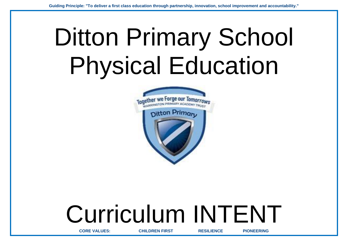# Ditton Primary School Physical Education



## Curriculum INTENT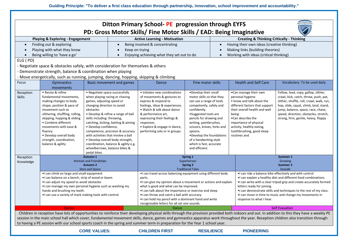| Ditton Primary School-PE progression through EYFS                                                                                                                                                                                                                                                                                                                                                                                                                                                                     |                                                                                                                                                                                                                                                                                                                               |                                                                                                                                                                                                                                                                                                                                                                                                                                                                                       |                                                                                                                                                                                                                                                                                                                                                                                                         |                                                                                                                                                                                                                                                                                                                                                     |                                                                                                                                                                                                                                                                                                                                                                                            |                                                                                                                                                                                                                                                                             |                                                                                                                                                                                                                                                                                            |
|-----------------------------------------------------------------------------------------------------------------------------------------------------------------------------------------------------------------------------------------------------------------------------------------------------------------------------------------------------------------------------------------------------------------------------------------------------------------------------------------------------------------------|-------------------------------------------------------------------------------------------------------------------------------------------------------------------------------------------------------------------------------------------------------------------------------------------------------------------------------|---------------------------------------------------------------------------------------------------------------------------------------------------------------------------------------------------------------------------------------------------------------------------------------------------------------------------------------------------------------------------------------------------------------------------------------------------------------------------------------|---------------------------------------------------------------------------------------------------------------------------------------------------------------------------------------------------------------------------------------------------------------------------------------------------------------------------------------------------------------------------------------------------------|-----------------------------------------------------------------------------------------------------------------------------------------------------------------------------------------------------------------------------------------------------------------------------------------------------------------------------------------------------|--------------------------------------------------------------------------------------------------------------------------------------------------------------------------------------------------------------------------------------------------------------------------------------------------------------------------------------------------------------------------------------------|-----------------------------------------------------------------------------------------------------------------------------------------------------------------------------------------------------------------------------------------------------------------------------|--------------------------------------------------------------------------------------------------------------------------------------------------------------------------------------------------------------------------------------------------------------------------------------------|
|                                                                                                                                                                                                                                                                                                                                                                                                                                                                                                                       | PD: Gross Motor Skills/ Fine Motor Skills / EAD: Being Imaginative                                                                                                                                                                                                                                                            |                                                                                                                                                                                                                                                                                                                                                                                                                                                                                       |                                                                                                                                                                                                                                                                                                                                                                                                         |                                                                                                                                                                                                                                                                                                                                                     |                                                                                                                                                                                                                                                                                                                                                                                            |                                                                                                                                                                                                                                                                             |                                                                                                                                                                                                                                                                                            |
| $\bullet$                                                                                                                                                                                                                                                                                                                                                                                                                                                                                                             | <b>Playing &amp; Exploring - Engagement</b><br>Finding out & exploring                                                                                                                                                                                                                                                        | $\bullet$                                                                                                                                                                                                                                                                                                                                                                                                                                                                             | <b>Active Learning - Motivation</b><br>Being involved & concentrating                                                                                                                                                                                                                                                                                                                                   |                                                                                                                                                                                                                                                                                                                                                     | $\bullet$                                                                                                                                                                                                                                                                                                                                                                                  | <b>Creating &amp; Thinking Critically - Thinking</b><br>Having their own ideas (creative thinking)                                                                                                                                                                          |                                                                                                                                                                                                                                                                                            |
| $\bullet$                                                                                                                                                                                                                                                                                                                                                                                                                                                                                                             | Playing with what they know                                                                                                                                                                                                                                                                                                   |                                                                                                                                                                                                                                                                                                                                                                                                                                                                                       | Keep on trying                                                                                                                                                                                                                                                                                                                                                                                          |                                                                                                                                                                                                                                                                                                                                                     |                                                                                                                                                                                                                                                                                                                                                                                            | Making links (building theories)                                                                                                                                                                                                                                            |                                                                                                                                                                                                                                                                                            |
| $\bullet$                                                                                                                                                                                                                                                                                                                                                                                                                                                                                                             | Being willing to 'have a go'                                                                                                                                                                                                                                                                                                  | $\bullet$                                                                                                                                                                                                                                                                                                                                                                                                                                                                             | Enjoying achieving what they set out to do                                                                                                                                                                                                                                                                                                                                                              |                                                                                                                                                                                                                                                                                                                                                     |                                                                                                                                                                                                                                                                                                                                                                                            | Working with ideas (critical thinking)                                                                                                                                                                                                                                      |                                                                                                                                                                                                                                                                                            |
| ELG (PD)                                                                                                                                                                                                                                                                                                                                                                                                                                                                                                              |                                                                                                                                                                                                                                                                                                                               |                                                                                                                                                                                                                                                                                                                                                                                                                                                                                       |                                                                                                                                                                                                                                                                                                                                                                                                         |                                                                                                                                                                                                                                                                                                                                                     |                                                                                                                                                                                                                                                                                                                                                                                            |                                                                                                                                                                                                                                                                             |                                                                                                                                                                                                                                                                                            |
|                                                                                                                                                                                                                                                                                                                                                                                                                                                                                                                       |                                                                                                                                                                                                                                                                                                                               | - Negotiate space & obstacles safely, with consideration for themselves & others                                                                                                                                                                                                                                                                                                                                                                                                      |                                                                                                                                                                                                                                                                                                                                                                                                         |                                                                                                                                                                                                                                                                                                                                                     |                                                                                                                                                                                                                                                                                                                                                                                            |                                                                                                                                                                                                                                                                             |                                                                                                                                                                                                                                                                                            |
|                                                                                                                                                                                                                                                                                                                                                                                                                                                                                                                       |                                                                                                                                                                                                                                                                                                                               | - Demonstrate strength, balance & coordination when playing                                                                                                                                                                                                                                                                                                                                                                                                                           |                                                                                                                                                                                                                                                                                                                                                                                                         |                                                                                                                                                                                                                                                                                                                                                     |                                                                                                                                                                                                                                                                                                                                                                                            |                                                                                                                                                                                                                                                                             |                                                                                                                                                                                                                                                                                            |
|                                                                                                                                                                                                                                                                                                                                                                                                                                                                                                                       |                                                                                                                                                                                                                                                                                                                               | Move energetically, such as running, jumping, dancing, hopping, skipping & climbing                                                                                                                                                                                                                                                                                                                                                                                                   |                                                                                                                                                                                                                                                                                                                                                                                                         |                                                                                                                                                                                                                                                                                                                                                     |                                                                                                                                                                                                                                                                                                                                                                                            |                                                                                                                                                                                                                                                                             |                                                                                                                                                                                                                                                                                            |
| <b>Focus</b>                                                                                                                                                                                                                                                                                                                                                                                                                                                                                                          | Gymnastics                                                                                                                                                                                                                                                                                                                    | Basic movement and games                                                                                                                                                                                                                                                                                                                                                                                                                                                              | Dance                                                                                                                                                                                                                                                                                                                                                                                                   | Fine motor skills                                                                                                                                                                                                                                                                                                                                   |                                                                                                                                                                                                                                                                                                                                                                                            | <b>Health and Self Care</b>                                                                                                                                                                                                                                                 | Vocabulary- To be used daily.                                                                                                                                                                                                                                                              |
|                                                                                                                                                                                                                                                                                                                                                                                                                                                                                                                       | movements                                                                                                                                                                                                                                                                                                                     |                                                                                                                                                                                                                                                                                                                                                                                                                                                                                       |                                                                                                                                                                                                                                                                                                                                                                                                         |                                                                                                                                                                                                                                                                                                                                                     |                                                                                                                                                                                                                                                                                                                                                                                            |                                                                                                                                                                                                                                                                             |                                                                                                                                                                                                                                                                                            |
| Reception<br><b>Skills</b>                                                                                                                                                                                                                                                                                                                                                                                                                                                                                            | • Revise & refine<br>fundamental movements,<br>making changes to body<br>shape, position & pace of<br>movement such as<br>slithering, shuffling, rolling,<br>skipping, hopping & sliding<br>• Combine different<br>movements with ease &<br>fluency<br>• Develop overall body<br>strength, coordination,<br>balance & agility | • Negotiate space successfully<br>when playing racing or chasing<br>games, adjusting speed or<br>changing direction to avoid<br>obstacles<br>• Develop & refine a range of ball<br>skills including: throwing,<br>catching, kicking, batting & aiming<br>· Develop confidence,<br>competence, precision & accuracy<br>with activities that involve a ball<br>• Develop overall body strength,<br>coordination, balance & agility e.g.<br>wheelbarrows, balance bikes &<br>pedal bikes | • Initiates new combinations<br>of movements & gestures to<br>express & respond to<br>feelings, ideas & experiences<br>• Watch & talk about dance<br>& performance art,<br>expressing their feelings &<br>responses<br>· Explore & engage in dance,<br>performing solo or in groups                                                                                                                     | . Develop their small<br>motor skills so that they<br>can use a range of tools<br>competently, safely and<br>confidently.<br>•Suggested tools are<br>pencils for drawing and<br>writing, paintbrushes,<br>scissors, knives, forks and<br>spoons.<br>•Develop the foundations<br>of a handwriting style<br>which is fast, accurate<br>and efficient. |                                                                                                                                                                                                                                                                                                                                                                                            | •Can manage their own<br>personal hygiene<br>• know and talk about the<br>different factors that support<br>their overall health and well<br>being<br>•Can describe the<br>importance of physical<br>activity, healthy eating,<br>toothbrushing, good sleep<br>routines and | Follow, lead, copy, gallop, slither,<br>crawl, kick, catch, throw, push, pat,<br>slither, shuffle, roll, crawl, walk, run,<br>hop, slide, squat, climb, land, stand,<br>jump, balance, space, race, chase,<br>speed, direction, obstacles, stretch,<br>strong, firm, gentle, heavy, floppy |
| Reception<br>Knowledge                                                                                                                                                                                                                                                                                                                                                                                                                                                                                                | Autumn 1<br><b>Animals and Friendships</b><br><b>Autumn 2</b><br><b>Stars and Space</b>                                                                                                                                                                                                                                       |                                                                                                                                                                                                                                                                                                                                                                                                                                                                                       |                                                                                                                                                                                                                                                                                                                                                                                                         | Spring 1<br>Superheroes<br><b>Spring 2</b><br><b>Traditional Tales</b>                                                                                                                                                                                                                                                                              |                                                                                                                                                                                                                                                                                                                                                                                            |                                                                                                                                                                                                                                                                             | Summer 1<br>Growing<br><b>Summer 2</b><br>Seaside                                                                                                                                                                                                                                          |
|                                                                                                                                                                                                                                                                                                                                                                                                                                                                                                                       | . I can climb on large and small equipment<br>. I can balance on a bench, strip of wood or beam<br>. I can adjust my speed to avoid obstacles<br>•I can manage my own personal hygiene such as washing my<br>hands and brushing my teeth.<br>. I can use a variety of mark making tools with control.                         |                                                                                                                                                                                                                                                                                                                                                                                                                                                                                       | . I can travel across balancing equipment using different body<br>parts.<br>•I can give my opinion about a movement or actions and explain<br>what is good and what can be improved.<br>. I can talk about the importance or exercise and sleep<br>. I can throw and catch a ball with accuracy<br>•I can hold my pencil with a dominant hand and write<br>recognisable letters for all set one sounds. |                                                                                                                                                                                                                                                                                                                                                     | . I can ride a balance bike effectively and with control<br>. I can explain a healthy diet and different food combinations<br>•I can write with a clear tripod grip and create accurately formed<br>letters ready for joining.<br>•I can demonstrate skills and techniques to the rest of my class.<br>•I can move in time to music and change my movements in<br>response to what I hear. |                                                                                                                                                                                                                                                                             |                                                                                                                                                                                                                                                                                            |
|                                                                                                                                                                                                                                                                                                                                                                                                                                                                                                                       | <b>Self Evauation</b><br><b>Games</b><br>Dance                                                                                                                                                                                                                                                                                |                                                                                                                                                                                                                                                                                                                                                                                                                                                                                       |                                                                                                                                                                                                                                                                                                                                                                                                         |                                                                                                                                                                                                                                                                                                                                                     |                                                                                                                                                                                                                                                                                                                                                                                            |                                                                                                                                                                                                                                                                             |                                                                                                                                                                                                                                                                                            |
| Children in reception have lots of opportunities to reinforce their developing physical skills through the provision provided both indoors and out. In addition to this they have a weekly PE<br>session in the main school hall which cover, fundamental movement skills, dance, games and gymnastics apparatus work throughout the year. Reception children also transition through<br>to having a PE session with our school sports coach in the spring and summer term in preparation for the Year 1 school year. |                                                                                                                                                                                                                                                                                                                               |                                                                                                                                                                                                                                                                                                                                                                                                                                                                                       |                                                                                                                                                                                                                                                                                                                                                                                                         |                                                                                                                                                                                                                                                                                                                                                     |                                                                                                                                                                                                                                                                                                                                                                                            |                                                                                                                                                                                                                                                                             |                                                                                                                                                                                                                                                                                            |
|                                                                                                                                                                                                                                                                                                                                                                                                                                                                                                                       | <b>CORE VALUES:</b><br><b>CHILDREN FIRST</b><br><b>PIONEERING</b><br><b>RESILIENCE</b>                                                                                                                                                                                                                                        |                                                                                                                                                                                                                                                                                                                                                                                                                                                                                       |                                                                                                                                                                                                                                                                                                                                                                                                         |                                                                                                                                                                                                                                                                                                                                                     |                                                                                                                                                                                                                                                                                                                                                                                            |                                                                                                                                                                                                                                                                             |                                                                                                                                                                                                                                                                                            |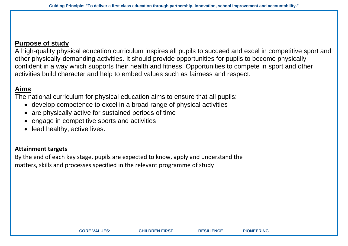### **Purpose of study**

A high-quality physical education curriculum inspires all pupils to succeed and excel in competitive sport and other physically-demanding activities. It should provide opportunities for pupils to become physically confident in a way which supports their health and fitness. Opportunities to compete in sport and other activities build character and help to embed values such as fairness and respect.

## **Aims**

The national curriculum for physical education aims to ensure that all pupils:

- develop competence to excel in a broad range of physical activities
- are physically active for sustained periods of time
- engage in competitive sports and activities
- lead healthy, active lives.

#### **Attainment targets**

By the end of each key stage, pupils are expected to know, apply and understand the matters, skills and processes specified in the relevant programme of study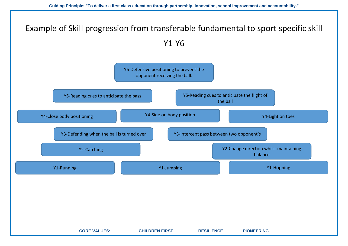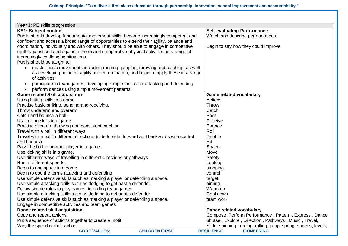| Year 1: PE skills progression                                                                 |                                                                  |
|-----------------------------------------------------------------------------------------------|------------------------------------------------------------------|
| <b>KS1: Subject content</b>                                                                   | <b>Self-evaluating Performance</b>                               |
| Pupils should develop fundamental movement skills, become increasingly competent and          | Watch and describe performances.                                 |
| confident and access a broad range of opportunities to extend their agility, balance and      |                                                                  |
| coordination, individually and with others. They should be able to engage in competitive      | Begin to say how they could improve.                             |
| (both against self and against others) and co-operative physical activities, in a range of    |                                                                  |
| increasingly challenging situations.                                                          |                                                                  |
| Pupils should be taught to:                                                                   |                                                                  |
| master basic movements including running, jumping, throwing and catching, as well             |                                                                  |
| as developing balance, agility and co-ordination, and begin to apply these in a range         |                                                                  |
| of activities                                                                                 |                                                                  |
| participate in team games, developing simple tactics for attacking and defending<br>$\bullet$ |                                                                  |
| perform dances using simple movement patterns                                                 |                                                                  |
| <b>Game related Skill acquisition-</b>                                                        | <b>Game related vocabulary</b>                                   |
| Using hitting skills in a game.                                                               | Actions                                                          |
| Practise basic striking, sending and receiving.                                               | Throw                                                            |
| Throw underarm and overarm.                                                                   | Catch                                                            |
| Catch and bounce a ball.                                                                      | Pass                                                             |
| Use rolling skills in a game.                                                                 | Receive                                                          |
| Practise accurate throwing and consistent catching.                                           | <b>Bounce</b>                                                    |
| Travel with a ball in different ways.                                                         | Roll                                                             |
| Travel with a ball in different directions (side to side, forward and backwards with control  | <b>Dribble</b>                                                   |
| and fluency)                                                                                  | Hit                                                              |
| Pass the ball to another player in a game.                                                    | Space                                                            |
| Use kicking skills in a game.                                                                 | Move                                                             |
| Use different ways of travelling in different directions or pathways.                         | Safety                                                           |
| Run at different speeds.                                                                      | Looking                                                          |
| Begin to use space in a game.                                                                 | stopping                                                         |
| Begin to use the terms attacking and defending.                                               | control                                                          |
| Use simple defensive skills such as marking a player or defending a space.                    | target                                                           |
| Use simple attacking skills such as dodging to get past a defender.                           | aiming                                                           |
| Follow simple rules to play games, including team games.                                      | Warm up                                                          |
| Use simple attacking skills such as dodging to get past a defender.                           | Cool down                                                        |
| Use simple defensive skills such as marking a player or defending a space.                    | team work                                                        |
| Engage in competitive activities and team games.                                              |                                                                  |
| Dance related skill acquisition                                                               | Dance related vocabulary                                         |
| Copy and repeat actions.                                                                      | Compose, Perform Performance, Pattern, Express, Dance            |
| Put a sequence of actions together to create a motif.                                         | phrase, Explore, Direction, Pathways, Music, Travel,             |
| Vary the speed of their actions.                                                              | Slide, spinning, turning, rolling, jump, spring, speeds, levels, |
| <b>CORE VALUES:</b><br><b>CHILDREN FIRST</b>                                                  | <b>RESILIENCE</b><br><b>PIONEERING</b>                           |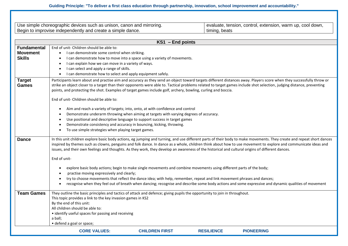|                                                        | Use simple choreographic devices such as unison, canon and mirroring.<br>Begin to improvise independently and create a simple dance.                                                                                                                                                                                                                                                                                                                                                                                                                                                                                                                                                                                                                                                                                                                                                                                                       |                       | timing, beats     | evaluate, tension, control, extension, warm up, cool down,                                                                                                                                                                                                                                                                                                                                                                                                                                      |  |
|--------------------------------------------------------|--------------------------------------------------------------------------------------------------------------------------------------------------------------------------------------------------------------------------------------------------------------------------------------------------------------------------------------------------------------------------------------------------------------------------------------------------------------------------------------------------------------------------------------------------------------------------------------------------------------------------------------------------------------------------------------------------------------------------------------------------------------------------------------------------------------------------------------------------------------------------------------------------------------------------------------------|-----------------------|-------------------|-------------------------------------------------------------------------------------------------------------------------------------------------------------------------------------------------------------------------------------------------------------------------------------------------------------------------------------------------------------------------------------------------------------------------------------------------------------------------------------------------|--|
|                                                        |                                                                                                                                                                                                                                                                                                                                                                                                                                                                                                                                                                                                                                                                                                                                                                                                                                                                                                                                            | KS1 - End points      |                   |                                                                                                                                                                                                                                                                                                                                                                                                                                                                                                 |  |
| <b>Fundamental</b><br><b>Movement</b><br><b>Skills</b> | End of unit- Children should be able to:<br>I can demonstrate some control when striking.<br>$\bullet$<br>I can demonstrate how to move into a space using a variety of movements.<br>I can explain how we can move in a variety of ways.<br>$\bullet$<br>I can select and apply a range of skills.<br>$\bullet$<br>I can demonstrate how to select and apply equipment safely.<br>$\bullet$                                                                                                                                                                                                                                                                                                                                                                                                                                                                                                                                               |                       |                   |                                                                                                                                                                                                                                                                                                                                                                                                                                                                                                 |  |
| <b>Target</b><br><b>Games</b>                          | Participants learn about and practise aim and accuracy as they send an object toward targets different distances away. Players score when they successfully throw or<br>strike an object closer to a target than their opponents were able to. Tactical problems related to target games include shot selection, judging distance, preventing<br>points, and protecting the shot. Examples of target games include golf, archery, bowling, curling and boccia.<br>End of unit- Children should be able to:<br>Aim and reach a variety of targets; into, onto, at with confidence and control<br>$\bullet$<br>Demonstrate underarm throwing when aiming at targets with varying degrees of accuracy.<br>$\bullet$<br>Use positional and descriptive language to support success in target games<br>$\bullet$<br>Demonstrate consistency and accuracy in bouncing, kicking, throwing.<br>To use simple strategies when playing target games. |                       |                   |                                                                                                                                                                                                                                                                                                                                                                                                                                                                                                 |  |
| <b>Dance</b>                                           | issues, and their own feelings and thoughts. As they work, they develop an awareness of the historical and cultural origins of different dances.<br>End of unit-<br>explore basic body actions; begin to make single movements and combine movements using different parts of the body;<br>practise moving expressively and clearly;<br>try to choose movements that reflect the dance idea; with help, remember, repeat and link movement phrases and dances;                                                                                                                                                                                                                                                                                                                                                                                                                                                                             |                       |                   | In this unit children explore basic body actions, eg jumping and turning, and use different parts of their body to make movements. They create and repeat short dances<br>inspired by themes such as clowns, penguins and folk dance. In dance as a whole, children think about how to use movement to explore and communicate ideas and<br>recognise when they feel out of breath when dancing; recognise and describe some body actions and some expressive and dynamic qualities of movement |  |
| <b>Team Games</b>                                      | They outline the basic principles and tactics of attack and defence; giving pupils the opportunity to join in throughout.<br>This topic provides a link to the key invasion games in KS2<br>By the end of this unit:<br>All children should be able to:<br>• identify useful spaces for passing and receiving<br>a ball;<br>· defend a goal or space;                                                                                                                                                                                                                                                                                                                                                                                                                                                                                                                                                                                      |                       |                   |                                                                                                                                                                                                                                                                                                                                                                                                                                                                                                 |  |
|                                                        | <b>CORE VALUES:</b>                                                                                                                                                                                                                                                                                                                                                                                                                                                                                                                                                                                                                                                                                                                                                                                                                                                                                                                        | <b>CHILDREN FIRST</b> | <b>RESILIENCE</b> | <b>PIONEERING</b>                                                                                                                                                                                                                                                                                                                                                                                                                                                                               |  |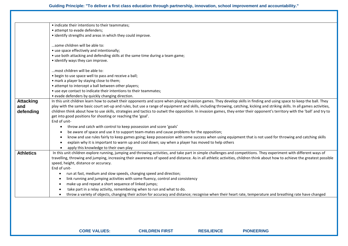#### **Guiding Principle: "To deliver a first class education through partnership, innovation, school improvement and accountability."**

|                  | • indicate their intentions to their teammates;                                                                                                                               |
|------------------|-------------------------------------------------------------------------------------------------------------------------------------------------------------------------------|
|                  |                                                                                                                                                                               |
|                  | • attempt to evade defenders;                                                                                                                                                 |
|                  | • identify strengths and areas in which they could improve.                                                                                                                   |
|                  |                                                                                                                                                                               |
|                  | some children will be able to:                                                                                                                                                |
|                  | • use space effectively and intentionally;                                                                                                                                    |
|                  | • use both attacking and defending skills at the same time during a team game;                                                                                                |
|                  | • identify ways they can improve.                                                                                                                                             |
|                  | most children will be able to:                                                                                                                                                |
|                  | • begin to use space well to pass and receive a ball;                                                                                                                         |
|                  | • mark a player by staying close to them;                                                                                                                                     |
|                  | • attempt to intercept a ball between other players;                                                                                                                          |
|                  | • use eye contact to indicate their intentions to their teammates;                                                                                                            |
|                  | • evade defenders by quickly changing direction.                                                                                                                              |
| <b>Attacking</b> | In this unit children learn how to outwit their opponents and score when playing invasion games. They develop skills in finding and using space to keep the ball. They        |
| and              | play with the same basic court set-up and rules, but use a range of equipment and skills, including throwing, catching, kicking and striking skills. In all games activities, |
| defending        | children think about how to use skills, strategies and tactics to outwit the opposition. In invasion games, they enter their opponent's territory with the 'ball' and try to  |
|                  | get into good positions for shooting or reaching the 'goal'.                                                                                                                  |
|                  | End of unit-                                                                                                                                                                  |
|                  | throw and catch with control to keep possession and score 'goals'<br>$\bullet$                                                                                                |
|                  | be aware of space and use it to support team-mates and cause problems for the opposition;                                                                                     |
|                  | know and use rules fairly to keep games going; keep possession with some success when using equipment that is not used for throwing and catching skills<br>$\bullet$          |
|                  | explain why it is important to warm up and cool down; say when a player has moved to help others                                                                              |
|                  | apply this knowledge to their own play                                                                                                                                        |
| <b>Athletics</b> | In this unit children explore running, jumping and throwing activities, and take part in simple challenges and competitions. They experiment with different ways of           |
|                  | travelling, throwing and jumping, increasing their awareness of speed and distance. As in all athletic activities, children think about how to achieve the greatest possible  |
|                  | speed, height, distance or accuracy.                                                                                                                                          |
|                  | End of unit-                                                                                                                                                                  |
|                  | run at fast, medium and slow speeds, changing speed and direction;<br>$\bullet$                                                                                               |
|                  | link running and jumping activities with some fluency, control and consistency                                                                                                |
|                  | make up and repeat a short sequence of linked jumps;<br>$\bullet$                                                                                                             |
|                  | take part in a relay activity, remembering when to run and what to do.                                                                                                        |
|                  | throw a variety of objects, changing their action for accuracy and distance; recognise when their heart rate, temperature and breathing rate have changed                     |
|                  |                                                                                                                                                                               |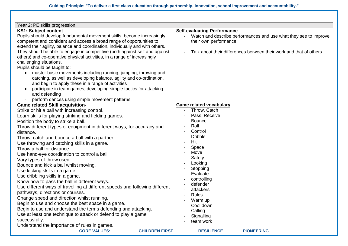| <b>KS1: Subject content</b><br><b>Self-evaluating Performance</b><br>Pupils should develop fundamental movement skills, become increasingly<br>Watch and describe performances and use what they see to improve<br>competent and confident and access a broad range of opportunities to<br>their own performance.<br>extend their agility, balance and coordination, individually and with others.<br>They should be able to engage in competitive (both against self and against<br>Talk about their differences between their work and that of others.<br>others) and co-operative physical activities, in a range of increasingly<br>challenging situations.<br>Pupils should be taught to:<br>master basic movements including running, jumping, throwing and<br>catching, as well as developing balance, agility and co-ordination,<br>and begin to apply these in a range of activities<br>participate in team games, developing simple tactics for attacking<br>and defending<br>perform dances using simple movement patterns<br><b>Game related Skill acquisition-</b><br><b>Game related vocabulary</b><br>Throw, Catch<br>Strike or hit a ball with increasing control.<br>Pass, Receive<br>Learn skills for playing striking and fielding games.<br><b>Bounce</b><br>Position the body to strike a ball.<br>Roll<br>Throw different types of equipment in different ways, for accuracy and<br>Control<br>distance.<br><b>Dribble</b><br>Throw, catch and bounce a ball with a partner.<br>Hit<br>Use throwing and catching skills in a game.<br>Space<br>Throw a ball for distance.<br>Move<br>Use hand-eye coordination to control a ball.<br>Safety<br>Vary types of throw used.<br>Looking<br>Bounce and kick a ball whilst moving.<br>Stopping<br>Use kicking skills in a game.<br>Evaluate<br>Use dribbling skills in a game.<br>controlling<br>Know how to pass the ball in different ways.<br>defender<br>Use different ways of travelling at different speeds and following different<br>attackers<br>pathways, directions or courses.<br><b>Rules</b><br>Change speed and direction whilst running.<br>Warm up<br>Begin to use and choose the best space in a game.<br>Cool down<br>Begin to use and understand the terms defending and attacking.<br>Calling<br>Use at least one technique to attack or defend to play a game<br>Signalling<br>successfully.<br>team work | Year 2: PE skills progression                |  |
|-------------------------------------------------------------------------------------------------------------------------------------------------------------------------------------------------------------------------------------------------------------------------------------------------------------------------------------------------------------------------------------------------------------------------------------------------------------------------------------------------------------------------------------------------------------------------------------------------------------------------------------------------------------------------------------------------------------------------------------------------------------------------------------------------------------------------------------------------------------------------------------------------------------------------------------------------------------------------------------------------------------------------------------------------------------------------------------------------------------------------------------------------------------------------------------------------------------------------------------------------------------------------------------------------------------------------------------------------------------------------------------------------------------------------------------------------------------------------------------------------------------------------------------------------------------------------------------------------------------------------------------------------------------------------------------------------------------------------------------------------------------------------------------------------------------------------------------------------------------------------------------------------------------------------------------------------------------------------------------------------------------------------------------------------------------------------------------------------------------------------------------------------------------------------------------------------------------------------------------------------------------------------------------------------------------------------------------------------------------------------------------------------|----------------------------------------------|--|
|                                                                                                                                                                                                                                                                                                                                                                                                                                                                                                                                                                                                                                                                                                                                                                                                                                                                                                                                                                                                                                                                                                                                                                                                                                                                                                                                                                                                                                                                                                                                                                                                                                                                                                                                                                                                                                                                                                                                                                                                                                                                                                                                                                                                                                                                                                                                                                                                 |                                              |  |
|                                                                                                                                                                                                                                                                                                                                                                                                                                                                                                                                                                                                                                                                                                                                                                                                                                                                                                                                                                                                                                                                                                                                                                                                                                                                                                                                                                                                                                                                                                                                                                                                                                                                                                                                                                                                                                                                                                                                                                                                                                                                                                                                                                                                                                                                                                                                                                                                 |                                              |  |
|                                                                                                                                                                                                                                                                                                                                                                                                                                                                                                                                                                                                                                                                                                                                                                                                                                                                                                                                                                                                                                                                                                                                                                                                                                                                                                                                                                                                                                                                                                                                                                                                                                                                                                                                                                                                                                                                                                                                                                                                                                                                                                                                                                                                                                                                                                                                                                                                 |                                              |  |
|                                                                                                                                                                                                                                                                                                                                                                                                                                                                                                                                                                                                                                                                                                                                                                                                                                                                                                                                                                                                                                                                                                                                                                                                                                                                                                                                                                                                                                                                                                                                                                                                                                                                                                                                                                                                                                                                                                                                                                                                                                                                                                                                                                                                                                                                                                                                                                                                 |                                              |  |
|                                                                                                                                                                                                                                                                                                                                                                                                                                                                                                                                                                                                                                                                                                                                                                                                                                                                                                                                                                                                                                                                                                                                                                                                                                                                                                                                                                                                                                                                                                                                                                                                                                                                                                                                                                                                                                                                                                                                                                                                                                                                                                                                                                                                                                                                                                                                                                                                 |                                              |  |
|                                                                                                                                                                                                                                                                                                                                                                                                                                                                                                                                                                                                                                                                                                                                                                                                                                                                                                                                                                                                                                                                                                                                                                                                                                                                                                                                                                                                                                                                                                                                                                                                                                                                                                                                                                                                                                                                                                                                                                                                                                                                                                                                                                                                                                                                                                                                                                                                 |                                              |  |
|                                                                                                                                                                                                                                                                                                                                                                                                                                                                                                                                                                                                                                                                                                                                                                                                                                                                                                                                                                                                                                                                                                                                                                                                                                                                                                                                                                                                                                                                                                                                                                                                                                                                                                                                                                                                                                                                                                                                                                                                                                                                                                                                                                                                                                                                                                                                                                                                 |                                              |  |
|                                                                                                                                                                                                                                                                                                                                                                                                                                                                                                                                                                                                                                                                                                                                                                                                                                                                                                                                                                                                                                                                                                                                                                                                                                                                                                                                                                                                                                                                                                                                                                                                                                                                                                                                                                                                                                                                                                                                                                                                                                                                                                                                                                                                                                                                                                                                                                                                 |                                              |  |
|                                                                                                                                                                                                                                                                                                                                                                                                                                                                                                                                                                                                                                                                                                                                                                                                                                                                                                                                                                                                                                                                                                                                                                                                                                                                                                                                                                                                                                                                                                                                                                                                                                                                                                                                                                                                                                                                                                                                                                                                                                                                                                                                                                                                                                                                                                                                                                                                 |                                              |  |
|                                                                                                                                                                                                                                                                                                                                                                                                                                                                                                                                                                                                                                                                                                                                                                                                                                                                                                                                                                                                                                                                                                                                                                                                                                                                                                                                                                                                                                                                                                                                                                                                                                                                                                                                                                                                                                                                                                                                                                                                                                                                                                                                                                                                                                                                                                                                                                                                 |                                              |  |
|                                                                                                                                                                                                                                                                                                                                                                                                                                                                                                                                                                                                                                                                                                                                                                                                                                                                                                                                                                                                                                                                                                                                                                                                                                                                                                                                                                                                                                                                                                                                                                                                                                                                                                                                                                                                                                                                                                                                                                                                                                                                                                                                                                                                                                                                                                                                                                                                 |                                              |  |
|                                                                                                                                                                                                                                                                                                                                                                                                                                                                                                                                                                                                                                                                                                                                                                                                                                                                                                                                                                                                                                                                                                                                                                                                                                                                                                                                                                                                                                                                                                                                                                                                                                                                                                                                                                                                                                                                                                                                                                                                                                                                                                                                                                                                                                                                                                                                                                                                 |                                              |  |
|                                                                                                                                                                                                                                                                                                                                                                                                                                                                                                                                                                                                                                                                                                                                                                                                                                                                                                                                                                                                                                                                                                                                                                                                                                                                                                                                                                                                                                                                                                                                                                                                                                                                                                                                                                                                                                                                                                                                                                                                                                                                                                                                                                                                                                                                                                                                                                                                 |                                              |  |
|                                                                                                                                                                                                                                                                                                                                                                                                                                                                                                                                                                                                                                                                                                                                                                                                                                                                                                                                                                                                                                                                                                                                                                                                                                                                                                                                                                                                                                                                                                                                                                                                                                                                                                                                                                                                                                                                                                                                                                                                                                                                                                                                                                                                                                                                                                                                                                                                 |                                              |  |
|                                                                                                                                                                                                                                                                                                                                                                                                                                                                                                                                                                                                                                                                                                                                                                                                                                                                                                                                                                                                                                                                                                                                                                                                                                                                                                                                                                                                                                                                                                                                                                                                                                                                                                                                                                                                                                                                                                                                                                                                                                                                                                                                                                                                                                                                                                                                                                                                 |                                              |  |
|                                                                                                                                                                                                                                                                                                                                                                                                                                                                                                                                                                                                                                                                                                                                                                                                                                                                                                                                                                                                                                                                                                                                                                                                                                                                                                                                                                                                                                                                                                                                                                                                                                                                                                                                                                                                                                                                                                                                                                                                                                                                                                                                                                                                                                                                                                                                                                                                 |                                              |  |
|                                                                                                                                                                                                                                                                                                                                                                                                                                                                                                                                                                                                                                                                                                                                                                                                                                                                                                                                                                                                                                                                                                                                                                                                                                                                                                                                                                                                                                                                                                                                                                                                                                                                                                                                                                                                                                                                                                                                                                                                                                                                                                                                                                                                                                                                                                                                                                                                 |                                              |  |
|                                                                                                                                                                                                                                                                                                                                                                                                                                                                                                                                                                                                                                                                                                                                                                                                                                                                                                                                                                                                                                                                                                                                                                                                                                                                                                                                                                                                                                                                                                                                                                                                                                                                                                                                                                                                                                                                                                                                                                                                                                                                                                                                                                                                                                                                                                                                                                                                 |                                              |  |
|                                                                                                                                                                                                                                                                                                                                                                                                                                                                                                                                                                                                                                                                                                                                                                                                                                                                                                                                                                                                                                                                                                                                                                                                                                                                                                                                                                                                                                                                                                                                                                                                                                                                                                                                                                                                                                                                                                                                                                                                                                                                                                                                                                                                                                                                                                                                                                                                 |                                              |  |
|                                                                                                                                                                                                                                                                                                                                                                                                                                                                                                                                                                                                                                                                                                                                                                                                                                                                                                                                                                                                                                                                                                                                                                                                                                                                                                                                                                                                                                                                                                                                                                                                                                                                                                                                                                                                                                                                                                                                                                                                                                                                                                                                                                                                                                                                                                                                                                                                 |                                              |  |
|                                                                                                                                                                                                                                                                                                                                                                                                                                                                                                                                                                                                                                                                                                                                                                                                                                                                                                                                                                                                                                                                                                                                                                                                                                                                                                                                                                                                                                                                                                                                                                                                                                                                                                                                                                                                                                                                                                                                                                                                                                                                                                                                                                                                                                                                                                                                                                                                 |                                              |  |
|                                                                                                                                                                                                                                                                                                                                                                                                                                                                                                                                                                                                                                                                                                                                                                                                                                                                                                                                                                                                                                                                                                                                                                                                                                                                                                                                                                                                                                                                                                                                                                                                                                                                                                                                                                                                                                                                                                                                                                                                                                                                                                                                                                                                                                                                                                                                                                                                 |                                              |  |
|                                                                                                                                                                                                                                                                                                                                                                                                                                                                                                                                                                                                                                                                                                                                                                                                                                                                                                                                                                                                                                                                                                                                                                                                                                                                                                                                                                                                                                                                                                                                                                                                                                                                                                                                                                                                                                                                                                                                                                                                                                                                                                                                                                                                                                                                                                                                                                                                 |                                              |  |
|                                                                                                                                                                                                                                                                                                                                                                                                                                                                                                                                                                                                                                                                                                                                                                                                                                                                                                                                                                                                                                                                                                                                                                                                                                                                                                                                                                                                                                                                                                                                                                                                                                                                                                                                                                                                                                                                                                                                                                                                                                                                                                                                                                                                                                                                                                                                                                                                 |                                              |  |
|                                                                                                                                                                                                                                                                                                                                                                                                                                                                                                                                                                                                                                                                                                                                                                                                                                                                                                                                                                                                                                                                                                                                                                                                                                                                                                                                                                                                                                                                                                                                                                                                                                                                                                                                                                                                                                                                                                                                                                                                                                                                                                                                                                                                                                                                                                                                                                                                 |                                              |  |
|                                                                                                                                                                                                                                                                                                                                                                                                                                                                                                                                                                                                                                                                                                                                                                                                                                                                                                                                                                                                                                                                                                                                                                                                                                                                                                                                                                                                                                                                                                                                                                                                                                                                                                                                                                                                                                                                                                                                                                                                                                                                                                                                                                                                                                                                                                                                                                                                 | Understand the importance of rules in games. |  |
| <b>CORE VALUES:</b><br><b>CHILDREN FIRST</b><br><b>RESILIENCE</b><br><b>PIONEERING</b>                                                                                                                                                                                                                                                                                                                                                                                                                                                                                                                                                                                                                                                                                                                                                                                                                                                                                                                                                                                                                                                                                                                                                                                                                                                                                                                                                                                                                                                                                                                                                                                                                                                                                                                                                                                                                                                                                                                                                                                                                                                                                                                                                                                                                                                                                                          |                                              |  |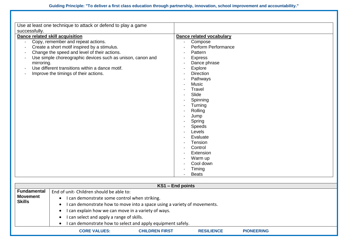| Use at least one technique to attack or defend to play a game               |                                              |
|-----------------------------------------------------------------------------|----------------------------------------------|
| successfully.                                                               |                                              |
| Dance related skill acquisition                                             | Dance related vocabulary                     |
| Copy, remember and repeat actions.<br>$\overline{\phantom{a}}$              | Compose<br>$\overline{\phantom{a}}$          |
| Create a short motif inspired by a stimulus.                                | Perform Performance                          |
| Change the speed and level of their actions.                                | Pattern                                      |
| Use simple choreographic devices such as unison, canon and                  | <b>Express</b><br>$\overline{\phantom{a}}$   |
| mirroring.                                                                  | Dance phrase<br>$\overline{\phantom{a}}$     |
| Use different transitions within a dance motif.<br>$\overline{\phantom{a}}$ | Explore<br>$\overline{\phantom{a}}$          |
| Improve the timings of their actions.                                       | <b>Direction</b><br>$\overline{\phantom{a}}$ |
|                                                                             | Pathways<br>$\overline{\phantom{a}}$         |
|                                                                             | <b>Music</b><br>$\overline{\phantom{a}}$     |
|                                                                             | Travel                                       |
|                                                                             | Slide                                        |
|                                                                             | Spinning<br>$\overline{\phantom{a}}$         |
|                                                                             | Turning<br>$\overline{\phantom{a}}$          |
|                                                                             | Rolling<br>$\overline{\phantom{a}}$          |
|                                                                             | Jump<br>$\overline{\phantom{a}}$             |
|                                                                             | Spring<br>$\overline{\phantom{a}}$           |
|                                                                             | Speeds                                       |
|                                                                             | Levels                                       |
|                                                                             | Evaluate                                     |
|                                                                             | Tension                                      |
|                                                                             | Control<br>$\overline{\phantom{a}}$          |
|                                                                             | Extension                                    |
|                                                                             | Warm up                                      |
|                                                                             | Cool down                                    |
|                                                                             | Timing                                       |
|                                                                             | <b>Beats</b>                                 |

| $KS1$ – End points |                                                                        |                                                                          |                       |                   |                   |  |
|--------------------|------------------------------------------------------------------------|--------------------------------------------------------------------------|-----------------------|-------------------|-------------------|--|
| <b>Fundamental</b> |                                                                        | End of unit- Children should be able to:                                 |                       |                   |                   |  |
| <b>Movement</b>    | I can demonstrate some control when striking.                          |                                                                          |                       |                   |                   |  |
| <b>Skills</b>      | $\bullet$                                                              | I can demonstrate how to move into a space using a variety of movements. |                       |                   |                   |  |
|                    |                                                                        | I can explain how we can move in a variety of ways.                      |                       |                   |                   |  |
|                    | I can select and apply a range of skills.<br>$\bullet$                 |                                                                          |                       |                   |                   |  |
|                    | can demonstrate how to select and apply equipment safely.<br>$\bullet$ |                                                                          |                       |                   |                   |  |
|                    |                                                                        | <b>CORE VALUES:</b>                                                      | <b>CHILDREN FIRST</b> | <b>RESILIENCE</b> | <b>PIONEERING</b> |  |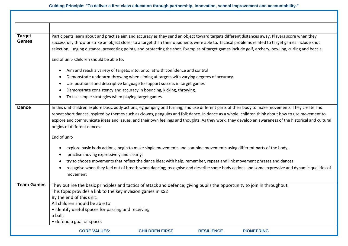| <b>Target</b><br><b>Games</b> | Participants learn about and practise aim and accuracy as they send an object toward targets different distances away. Players score when they<br>successfully throw or strike an object closer to a target than their opponents were able to. Tactical problems related to target games include shot<br>selection, judging distance, preventing points, and protecting the shot. Examples of target games include golf, archery, bowling, curling and boccia.<br>End of unit- Children should be able to:<br>Aim and reach a variety of targets; into, onto, at with confidence and control<br>$\bullet$<br>Demonstrate underarm throwing when aiming at targets with varying degrees of accuracy.<br>Use positional and descriptive language to support success in target games<br>Demonstrate consistency and accuracy in bouncing, kicking, throwing.<br>To use simple strategies when playing target games.                                                                          |  |  |  |  |
|-------------------------------|-------------------------------------------------------------------------------------------------------------------------------------------------------------------------------------------------------------------------------------------------------------------------------------------------------------------------------------------------------------------------------------------------------------------------------------------------------------------------------------------------------------------------------------------------------------------------------------------------------------------------------------------------------------------------------------------------------------------------------------------------------------------------------------------------------------------------------------------------------------------------------------------------------------------------------------------------------------------------------------------|--|--|--|--|
| <b>Dance</b>                  | In this unit children explore basic body actions, eg jumping and turning, and use different parts of their body to make movements. They create and<br>repeat short dances inspired by themes such as clowns, penguins and folk dance. In dance as a whole, children think about how to use movement to<br>explore and communicate ideas and issues, and their own feelings and thoughts. As they work, they develop an awareness of the historical and cultural<br>origins of different dances.<br>End of unit-<br>explore basic body actions; begin to make single movements and combine movements using different parts of the body;<br>٠<br>practise moving expressively and clearly;<br>try to choose movements that reflect the dance idea; with help, remember, repeat and link movement phrases and dances;<br>$\bullet$<br>recognise when they feel out of breath when dancing; recognise and describe some body actions and some expressive and dynamic qualities of<br>movement |  |  |  |  |
| <b>Team Games</b>             | They outline the basic principles and tactics of attack and defence; giving pupils the opportunity to join in throughout.<br>This topic provides a link to the key invasion games in KS2<br>By the end of this unit:<br>All children should be able to:<br>• identify useful spaces for passing and receiving<br>a ball;<br>• defend a goal or space;                                                                                                                                                                                                                                                                                                                                                                                                                                                                                                                                                                                                                                     |  |  |  |  |
|                               | <b>CHILDREN FIRST</b><br><b>RESILIENCE</b><br><b>PIONEERING</b><br><b>CORE VALUES:</b>                                                                                                                                                                                                                                                                                                                                                                                                                                                                                                                                                                                                                                                                                                                                                                                                                                                                                                    |  |  |  |  |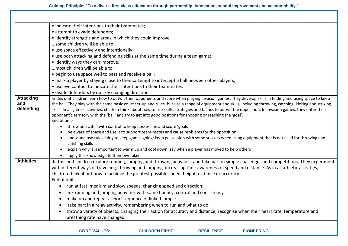|                  | • indicate their intentions to their teammates;                                                                                                                             |  |  |  |  |
|------------------|-----------------------------------------------------------------------------------------------------------------------------------------------------------------------------|--|--|--|--|
|                  | • attempt to evade defenders;                                                                                                                                               |  |  |  |  |
|                  | • identify strengths and areas in which they could improve.                                                                                                                 |  |  |  |  |
|                  | some children will be able to:                                                                                                                                              |  |  |  |  |
|                  | • use space effectively and intentionally;                                                                                                                                  |  |  |  |  |
|                  | • use both attacking and defending skills at the same time during a team game;                                                                                              |  |  |  |  |
|                  | • identify ways they can improve.                                                                                                                                           |  |  |  |  |
|                  | most children will be able to:                                                                                                                                              |  |  |  |  |
|                  | • begin to use space well to pass and receive a ball;                                                                                                                       |  |  |  |  |
|                  | • mark a player by staying close to them; attempt to intercept a ball between other players;                                                                                |  |  |  |  |
|                  | • use eye contact to indicate their intentions to their teammates;                                                                                                          |  |  |  |  |
|                  | • evade defenders by quickly changing direction.                                                                                                                            |  |  |  |  |
| <b>Attacking</b> | In this unit children learn how to outwit their opponents and score when playing invasion games. They develop skills in finding and using space to keep                     |  |  |  |  |
| and              | the ball. They play with the same basic court set-up and rules, but use a range of equipment and skills, including throwing, catching, kicking and striking                 |  |  |  |  |
| defending        | skills. In all games activities, children think about how to use skills, strategies and tactics to outwit the opposition. In invasion games, they enter their               |  |  |  |  |
|                  | opponent's territory with the 'ball' and try to get into good positions for shooting or reaching the 'goal'.                                                                |  |  |  |  |
|                  | End of unit-                                                                                                                                                                |  |  |  |  |
|                  | throw and catch with control to keep possession and score 'goals'<br>$\bullet$<br>be aware of space and use it to support team-mates and cause problems for the opposition; |  |  |  |  |
|                  | know and use rules fairly to keep games going; keep possession with some success when using equipment that is not used for throwing and                                     |  |  |  |  |
|                  | catching skills                                                                                                                                                             |  |  |  |  |
|                  | explain why it is important to warm up and cool down; say when a player has moved to help others                                                                            |  |  |  |  |
|                  | apply this knowledge to their own play                                                                                                                                      |  |  |  |  |
| <b>Athletics</b> | In this unit children explore running, jumping and throwing activities, and take part in simple challenges and competitions. They experiment                                |  |  |  |  |
|                  | with different ways of travelling, throwing and jumping, increasing their awareness of speed and distance. As in all athletic activities,                                   |  |  |  |  |
|                  | children think about how to achieve the greatest possible speed, height, distance or accuracy.                                                                              |  |  |  |  |
|                  | End of unit-                                                                                                                                                                |  |  |  |  |
|                  | run at fast, medium and slow speeds, changing speed and direction;                                                                                                          |  |  |  |  |
|                  | link running and jumping activities with some fluency, control and consistency<br>$\bullet$                                                                                 |  |  |  |  |
|                  | make up and repeat a short sequence of linked jumps;                                                                                                                        |  |  |  |  |
|                  | take part in a relay activity, remembering when to run and what to do.                                                                                                      |  |  |  |  |
|                  | throw a variety of objects, changing their action for accuracy and distance; recognise when their heart rate, temperature and                                               |  |  |  |  |
|                  | breathing rate have changed                                                                                                                                                 |  |  |  |  |
|                  |                                                                                                                                                                             |  |  |  |  |
|                  | <b>CORE VALUES:</b><br><b>CHILDREN FIRST</b><br><b>RESILIENCE</b><br><b>PIONEERING</b>                                                                                      |  |  |  |  |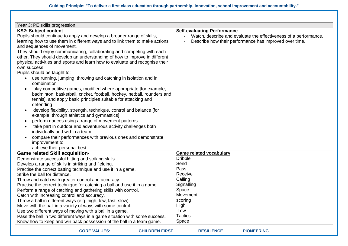| Year 3: PE skills progression                                                   |                                                                  |
|---------------------------------------------------------------------------------|------------------------------------------------------------------|
| <b>KS2: Subject content</b>                                                     | <b>Self-evaluating Performance</b>                               |
| Pupils should continue to apply and develop a broader range of skills,          | Watch, describe and evaluate the effectiveness of a performance. |
| learning how to use them in different ways and to link them to make actions     | Describe how their performance has improved over time.           |
| and sequences of movement.                                                      |                                                                  |
| They should enjoy communicating, collaborating and competing with each          |                                                                  |
| other. They should develop an understanding of how to improve in different      |                                                                  |
| physical activities and sports and learn how to evaluate and recognise their    |                                                                  |
| own success.                                                                    |                                                                  |
| Pupils should be taught to:                                                     |                                                                  |
| use running, jumping, throwing and catching in isolation and in                 |                                                                  |
| combination                                                                     |                                                                  |
| play competitive games, modified where appropriate [for example,                |                                                                  |
| badminton, basketball, cricket, football, hockey, netball, rounders and         |                                                                  |
| tennis], and apply basic principles suitable for attacking and                  |                                                                  |
| defending                                                                       |                                                                  |
| develop flexibility, strength, technique, control and balance [for<br>$\bullet$ |                                                                  |
| example, through athletics and gymnastics]                                      |                                                                  |
| perform dances using a range of movement patterns                               |                                                                  |
| take part in outdoor and adventurous activity challenges both                   |                                                                  |
| individually and within a team                                                  |                                                                  |
| compare their performances with previous ones and demonstrate                   |                                                                  |
| improvement to                                                                  |                                                                  |
| achieve their personal best.                                                    |                                                                  |
| <b>Game related Skill acquisition-</b>                                          | <b>Game related vocabulary</b>                                   |
| Demonstrate successful hitting and striking skills.                             | <b>Dribble</b>                                                   |
| Develop a range of skills in striking and fielding.                             | Send                                                             |
| Practise the correct batting technique and use it in a game.                    | Pass                                                             |
| Strike the ball for distance.                                                   | Receive                                                          |
| Throw and catch with greater control and accuracy.                              | Calling                                                          |
| Practise the correct technique for catching a ball and use it in a game.        | Signalling                                                       |
| Perform a range of catching and gathering skills with control.                  | Space                                                            |
| Catch with increasing control and accuracy.                                     | Movement                                                         |
| Throw a ball in different ways (e.g. high, low, fast, slow)                     | scoring                                                          |
| Move with the ball in a variety of ways with some control.                      | High                                                             |
| Use two different ways of moving with a ball in a game.                         | Low                                                              |
| Pass the ball in two different ways in a game situation with some success.      | <b>Tactics</b>                                                   |
| Know how to keep and win back possession of the ball in a team game.            | Space                                                            |
| <b>CORE VALUES:</b><br><b>CHILDREN FIRST</b>                                    | <b>RESILIENCE</b><br><b>PIONEERING</b>                           |
|                                                                                 |                                                                  |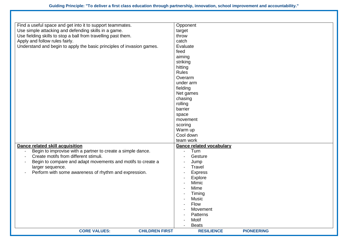| Find a useful space and get into it to support teammates.                               | Opponent                               |
|-----------------------------------------------------------------------------------------|----------------------------------------|
| Use simple attacking and defending skills in a game.                                    | target                                 |
| Use fielding skills to stop a ball from travelling past them.                           | throw                                  |
| Apply and follow rules fairly.                                                          | catch                                  |
|                                                                                         | Evaluate                               |
| Understand and begin to apply the basic principles of invasion games.                   | feed                                   |
|                                                                                         |                                        |
|                                                                                         | aiming                                 |
|                                                                                         | striking                               |
|                                                                                         | hitting                                |
|                                                                                         | <b>Rules</b>                           |
|                                                                                         | Overarm                                |
|                                                                                         | under arm                              |
|                                                                                         | fielding                               |
|                                                                                         | Net games                              |
|                                                                                         | chasing                                |
|                                                                                         | rolling                                |
|                                                                                         | barrier                                |
|                                                                                         | space                                  |
|                                                                                         | movement                               |
|                                                                                         | scoring                                |
|                                                                                         | Warm up                                |
|                                                                                         | Cool down                              |
|                                                                                         | team work                              |
| Dance related skill acquisition                                                         | Dance related vocabulary               |
| Begin to improvise with a partner to create a simple dance.<br>$\overline{\phantom{a}}$ | Turn                                   |
| Create motifs from different stimuli.<br>$\overline{\phantom{a}}$                       | Gesture                                |
| Begin to compare and adapt movements and motifs to create a                             | Jump                                   |
| larger sequence.                                                                        | Travel                                 |
| Perform with some awareness of rhythm and expression.                                   | <b>Express</b>                         |
|                                                                                         | Explore                                |
|                                                                                         | Mimic                                  |
|                                                                                         | Mime                                   |
|                                                                                         | Timing                                 |
|                                                                                         | Music                                  |
|                                                                                         | Flow                                   |
|                                                                                         | Movement                               |
|                                                                                         | <b>Patterns</b>                        |
|                                                                                         | Motif                                  |
|                                                                                         | <b>Beats</b>                           |
| <b>CHILDREN FIRST</b><br><b>CORE VALUES:</b>                                            | <b>RESILIENCE</b><br><b>PIONEERING</b> |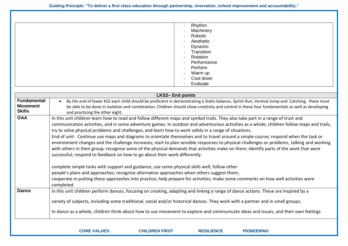**Guiding Principle: "To deliver a first class education through partnership, innovation, school improvement and accountability."**

| Rhythm<br>$\overline{\phantom{a}}$      |
|-----------------------------------------|
| Machinery<br>$\overline{\phantom{a}}$   |
| Robotic<br>$\overline{\phantom{a}}$     |
| Aesthetic<br>$\overline{\phantom{a}}$   |
| Dynamic<br>$\overline{\phantom{a}}$     |
| Transition<br>$\overline{\phantom{a}}$  |
| Rotation<br>$\overline{\phantom{a}}$    |
| Performance<br>$\overline{\phantom{a}}$ |
| Perform<br>$\overline{\phantom{a}}$     |
| Warm up<br>$\overline{\phantom{a}}$     |
| Cool down<br>$\overline{\phantom{a}}$   |
| Evaluate<br>$\overline{\phantom{0}}$    |
|                                         |

|                    | <b>LKS2-End points</b>                                                                                                                        |
|--------------------|-----------------------------------------------------------------------------------------------------------------------------------------------|
| <b>Fundamental</b> | By the end of lower KS2 each child should be proficient in demonstrating a Static balance, Sprint Run, Vertical Jump and Catching, these must |
| <b>Movement</b>    | be able to be done in isolation and combination. Children should show creativity and control in these four fundamentals as well as developing |
| <b>Skills</b>      | and practicing the other eight.                                                                                                               |
| <b>OAA</b>         | In this unit children learn how to read and follow different maps and symbol trails. They also take part in a range of trust and              |
|                    | communication activities, and in some adventure games. In outdoor and adventurous activities as a whole, children follow maps and trails,     |
|                    | try to solve physical problems and challenges, and learn how to work safely in a range of situations.                                         |
|                    | End of unit- Continue use maps and diagrams to orientate themselves and to travel around a simple course; respond when the task or            |
|                    | environment changes and the challenge increases; start to plan sensible responses to physical challenges or problems, talking and working     |
|                    | with others in their group; recognise some of the physical demands that activities make on them; identify parts of the work that were         |
|                    | successful; respond to feedback on how to go about their work differently.                                                                    |
|                    |                                                                                                                                               |
|                    | complete simple tasks with support and guidance; use some physical skills well; follow other                                                  |
|                    | people's plans and approaches; recognise alternative approaches when others suggest them;                                                     |
|                    | cooperate in putting these approaches into practice; help prepare for activities; make some comments on how well activities were              |
|                    | completed                                                                                                                                     |
| <b>Dance</b>       | In this unit children perform dances, focusing on creating, adapting and linking a range of dance actions. These are inspired by a            |
|                    | variety of subjects, including some traditional, social and/or historical dances. They work with a partner and in small groups.               |
|                    |                                                                                                                                               |
|                    | In dance as a whole, children think about how to use movement to explore and communicate ideas and issues, and their own feelings             |
|                    |                                                                                                                                               |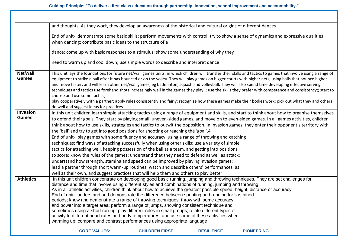|                  | and thoughts. As they work, they develop an awareness of the historical and cultural origins of different dances.                                                                            |  |  |  |  |
|------------------|----------------------------------------------------------------------------------------------------------------------------------------------------------------------------------------------|--|--|--|--|
|                  | End of unit- demonstrate some basic skills; perform movements with control; try to show a sense of dynamics and expressive qualities                                                         |  |  |  |  |
|                  | when dancing; contribute basic ideas to the structure of a                                                                                                                                   |  |  |  |  |
|                  | dance; come up with basic responses to a stimulus; show some understanding of why they                                                                                                       |  |  |  |  |
|                  |                                                                                                                                                                                              |  |  |  |  |
|                  | need to warm up and cool down; use simple words to describe and interpret dance                                                                                                              |  |  |  |  |
| Net/wall         | This unit lays the foundations for future net/wall games units, in which children will transfer their skills and tactics to games that involve using a range of                              |  |  |  |  |
| <b>Games</b>     | equipment to strike a ball after it has bounced or on the volley. They will play games on bigger courts with higher nets, using balls that bounce higher                                     |  |  |  |  |
|                  | and move faster, and will learn other net/wall games, eg badminton, squash and volleyball. They will also spend time developing effective serving                                            |  |  |  |  |
|                  | techniques and tactics use forehand shots increasingly well in the games they play; ; use the skills they prefer with competence and consistency;; start to<br>choose and use some tactics;  |  |  |  |  |
|                  | play cooperatively with a partner; apply rules consistently and fairly; recognise how these games make their bodies work; pick out what they and others                                      |  |  |  |  |
|                  | do well and suggest ideas for practices                                                                                                                                                      |  |  |  |  |
| <b>Invasion</b>  | In this unit children learn simple attacking tactics using a range of equipment and skills, and start to think about how to organise themselves                                              |  |  |  |  |
| <b>Games</b>     | to defend their goals. They start by playing small, uneven-sided games, and move on to even-sided games. In all games activities, children                                                   |  |  |  |  |
|                  | think about how to use skills, strategies and tactics to outwit the opposition. In invasion games, they enter their opponent's territory with                                                |  |  |  |  |
|                  | the 'ball' and try to get into good positions for shooting or reaching the 'goal'.4                                                                                                          |  |  |  |  |
|                  | End of unit- play games with some fluency and accuracy, using a range of throwing and catching                                                                                               |  |  |  |  |
|                  | techniques; find ways of attacking successfully when using other skills; use a variety of simple                                                                                             |  |  |  |  |
|                  | tactics for attacking well, keeping possession of the ball as a team, and getting into positions                                                                                             |  |  |  |  |
|                  | to score; know the rules of the games; understand that they need to defend as well as attack;                                                                                                |  |  |  |  |
|                  | understand how strength, stamina and speed can be improved by playing invasion games;<br>lead a partner through short warm-up routines; watch and describe others' performances, as          |  |  |  |  |
|                  | well as their own, and suggest practices that will help them and others to play better                                                                                                       |  |  |  |  |
| <b>Athletics</b> | In this unit children concentrate on developing good basic running, jumping and throwing techniques. They are set challenges for                                                             |  |  |  |  |
|                  | distance and time that involve using different styles and combinations of running, jumping and throwing.                                                                                     |  |  |  |  |
|                  | As in all athletic activities, children think about how to achieve the greatest possible speed, height, distance or accuracy.                                                                |  |  |  |  |
|                  | End of unit- understand and demonstrate the difference between sprinting and running for sustained<br>periods; know and demonstrate a range of throwing techniques; throw with some accuracy |  |  |  |  |
|                  | and power into a target area; perform a range of jumps, showing consistent technique and                                                                                                     |  |  |  |  |
|                  | sometimes using a short run-up; play different roles in small groups; relate different types of                                                                                              |  |  |  |  |
|                  | activity to different heart rates and body temperatures, and use some of these activities when                                                                                               |  |  |  |  |
|                  | warming up; compare and contrast performances using appropriate language                                                                                                                     |  |  |  |  |
|                  | <b>CORE VALUES:</b><br><b>CHILDREN FIRST</b><br><b>PIONEERING</b><br><b>RESILIENCE</b>                                                                                                       |  |  |  |  |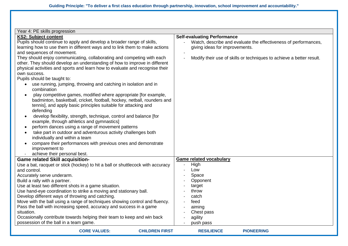| Year 4: PE skills progression                                                   |                                                                      |
|---------------------------------------------------------------------------------|----------------------------------------------------------------------|
| <b>KS2: Subject content</b>                                                     | <b>Self-evaluating Performance</b>                                   |
| Pupils should continue to apply and develop a broader range of skills,          | Watch, describe and evaluate the effectiveness of performances,      |
| learning how to use them in different ways and to link them to make actions     | giving ideas for improvements.                                       |
| and sequences of movement.                                                      |                                                                      |
| They should enjoy communicating, collaborating and competing with each          | Modify their use of skills or techniques to achieve a better result. |
| other. They should develop an understanding of how to improve in different      |                                                                      |
| physical activities and sports and learn how to evaluate and recognise their    |                                                                      |
| own success.                                                                    |                                                                      |
| Pupils should be taught to:                                                     |                                                                      |
| use running, jumping, throwing and catching in isolation and in                 |                                                                      |
| combination                                                                     |                                                                      |
| play competitive games, modified where appropriate [for example,<br>$\bullet$   |                                                                      |
| badminton, basketball, cricket, football, hockey, netball, rounders and         |                                                                      |
| tennis], and apply basic principles suitable for attacking and                  |                                                                      |
| defending                                                                       |                                                                      |
| develop flexibility, strength, technique, control and balance [for<br>$\bullet$ |                                                                      |
| example, through athletics and gymnastics]                                      |                                                                      |
| perform dances using a range of movement patterns                               |                                                                      |
| take part in outdoor and adventurous activity challenges both                   |                                                                      |
| individually and within a team                                                  |                                                                      |
| compare their performances with previous ones and demonstrate                   |                                                                      |
| improvement to                                                                  |                                                                      |
| achieve their personal best.                                                    |                                                                      |
| <b>Game related Skill acquisition-</b>                                          | <b>Game related vocabulary</b>                                       |
| Use a bat, racquet or stick (hockey) to hit a ball or shuttlecock with accuracy | High                                                                 |
| and control.                                                                    | Low                                                                  |
| Accurately serve underarm.                                                      | Space                                                                |
| Build a rally with a partner.                                                   | Opponent                                                             |
| Use at least two different shots in a game situation.                           | target                                                               |
| Use hand-eye coordination to strike a moving and stationary ball.               | throw                                                                |
| Develop different ways of throwing and catching.                                | catch                                                                |
| Move with the ball using a range of techniques showing control and fluency.     | feed                                                                 |
| Pass the ball with increasing speed, accuracy and success in a game             | aiming                                                               |
| situation.                                                                      | Chest pass                                                           |
| Occasionally contribute towards helping their team to keep and win back         | agility                                                              |
| possession of the ball in a team game.                                          | push pass                                                            |
|                                                                                 |                                                                      |
| <b>CORE VALUES:</b><br><b>CHILDREN FIRST</b>                                    | <b>RESILIENCE</b><br><b>PIONEERING</b>                               |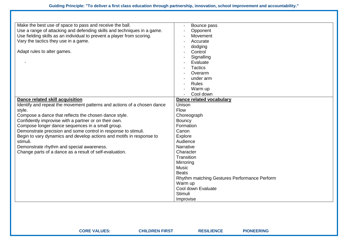| Make the best use of space to pass and receive the ball.<br>Use a range of attacking and defending skills and techniques in a game.<br>Use fielding skills as an individual to prevent a player from scoring.<br>Vary the tactics they use in a game.<br>Adapt rules to alter games.                                                                                                                                                                                                                                                                     | Bounce pass<br>Opponent<br>Movement<br>Accurate<br>dodging<br>Control<br>Signalling<br>Evaluate<br><b>Tactics</b><br>Overarm<br>under arm<br><b>Rules</b><br>Warm up<br>Cool down                                                                                                                                                          |
|----------------------------------------------------------------------------------------------------------------------------------------------------------------------------------------------------------------------------------------------------------------------------------------------------------------------------------------------------------------------------------------------------------------------------------------------------------------------------------------------------------------------------------------------------------|--------------------------------------------------------------------------------------------------------------------------------------------------------------------------------------------------------------------------------------------------------------------------------------------------------------------------------------------|
| Dance related skill acquisition<br>Identify and repeat the movement patterns and actions of a chosen dance<br>style.<br>Compose a dance that reflects the chosen dance style.<br>Confidently improvise with a partner or on their own.<br>Compose longer dance sequences in a small group.<br>Demonstrate precision and some control in response to stimuli.<br>Begin to vary dynamics and develop actions and motifs in response to<br>stimuli.<br>Demonstrate rhythm and special awareness.<br>Change parts of a dance as a result of self-evaluation. | Dance related vocabulary<br>Unison<br><b>Flow</b><br>Choreograph<br><b>Bouncy</b><br>Formation<br>Canon<br><b>Explore</b><br>Audience<br>Narrative<br>Character<br>Transition<br>Mirroring<br><b>Music</b><br><b>Beats</b><br>Rhythm matching Gestures Performance Perform<br>Warm up<br>Cool down Evaluate<br><b>Stimuli</b><br>Improvise |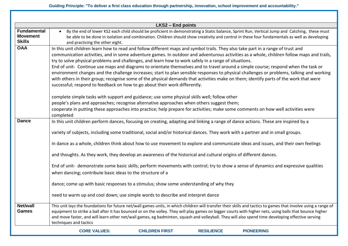|                                                        | <b>LKS2 - End points</b>                                                                                                                                                                                                                                                                                                                                                                                                                                                                                                                                                                                                                                                                                                                                                                                                                                                                                                                                                                                                                                                                                                                                                                                                                       |  |  |  |  |  |
|--------------------------------------------------------|------------------------------------------------------------------------------------------------------------------------------------------------------------------------------------------------------------------------------------------------------------------------------------------------------------------------------------------------------------------------------------------------------------------------------------------------------------------------------------------------------------------------------------------------------------------------------------------------------------------------------------------------------------------------------------------------------------------------------------------------------------------------------------------------------------------------------------------------------------------------------------------------------------------------------------------------------------------------------------------------------------------------------------------------------------------------------------------------------------------------------------------------------------------------------------------------------------------------------------------------|--|--|--|--|--|
| <b>Fundamental</b><br><b>Movement</b><br><b>Skills</b> | By the end of lower KS2 each child should be proficient in demonstrating a Static balance, Sprint Run, Vertical Jump and Catching, these must<br>be able to be done in isolation and combination. Children should show creativity and control in these four fundamentals as well as developing<br>and practicing the other eight.                                                                                                                                                                                                                                                                                                                                                                                                                                                                                                                                                                                                                                                                                                                                                                                                                                                                                                              |  |  |  |  |  |
| <b>OAA</b>                                             | In this unit children learn how to read and follow different maps and symbol trails. They also take part in a range of trust and<br>communication activities, and in some adventure games. In outdoor and adventurous activities as a whole, children follow maps and trails,<br>try to solve physical problems and challenges, and learn how to work safely in a range of situations.<br>End of unit- Continue use maps and diagrams to orientate themselves and to travel around a simple course; respond when the task or<br>environment changes and the challenge increases; start to plan sensible responses to physical challenges or problems, talking and working<br>with others in their group; recognise some of the physical demands that activities make on them; identify parts of the work that were<br>successful; respond to feedback on how to go about their work differently.<br>complete simple tasks with support and guidance; use some physical skills well; follow other<br>people's plans and approaches; recognise alternative approaches when others suggest them;<br>cooperate in putting these approaches into practice; help prepare for activities; make some comments on how well activities were<br>completed |  |  |  |  |  |
| <b>Dance</b>                                           | In this unit children perform dances, focusing on creating, adapting and linking a range of dance actions. These are inspired by a<br>variety of subjects, including some traditional, social and/or historical dances. They work with a partner and in small groups.<br>In dance as a whole, children think about how to use movement to explore and communicate ideas and issues, and their own feelings<br>and thoughts. As they work, they develop an awareness of the historical and cultural origins of different dances.<br>End of unit- demonstrate some basic skills; perform movements with control; try to show a sense of dynamics and expressive qualities<br>when dancing; contribute basic ideas to the structure of a<br>dance; come up with basic responses to a stimulus; show some understanding of why they<br>need to warm up and cool down; use simple words to describe and interpret dance                                                                                                                                                                                                                                                                                                                             |  |  |  |  |  |
| <b>Net/wall</b><br><b>Games</b>                        | This unit lays the foundations for future net/wall games units, in which children will transfer their skills and tactics to games that involve using a range of<br>equipment to strike a ball after it has bounced or on the volley. They will play games on bigger courts with higher nets, using balls that bounce higher<br>and move faster, and will learn other net/wall games, eg badminton, squash and volleyball. They will also spend time developing effective serving<br>techniques and tactics                                                                                                                                                                                                                                                                                                                                                                                                                                                                                                                                                                                                                                                                                                                                     |  |  |  |  |  |
|                                                        | <b>CHILDREN FIRST</b><br><b>RESILIENCE</b><br><b>PIONEERING</b><br><b>CORE VALUES:</b>                                                                                                                                                                                                                                                                                                                                                                                                                                                                                                                                                                                                                                                                                                                                                                                                                                                                                                                                                                                                                                                                                                                                                         |  |  |  |  |  |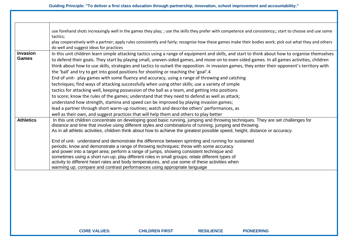|                                 | use forehand shots increasingly well in the games they play; ; use the skills they prefer with competence and consistency;; start to choose and use some<br>tactics;                                                                                                                                                                                                                                                                                                                                                                                                                                                                                                                                                                                                                                                                                                                                                                                                                                                                                                                                                                                                                                                              |
|---------------------------------|-----------------------------------------------------------------------------------------------------------------------------------------------------------------------------------------------------------------------------------------------------------------------------------------------------------------------------------------------------------------------------------------------------------------------------------------------------------------------------------------------------------------------------------------------------------------------------------------------------------------------------------------------------------------------------------------------------------------------------------------------------------------------------------------------------------------------------------------------------------------------------------------------------------------------------------------------------------------------------------------------------------------------------------------------------------------------------------------------------------------------------------------------------------------------------------------------------------------------------------|
|                                 | play cooperatively with a partner; apply rules consistently and fairly; recognise how these games make their bodies work; pick out what they and others<br>do well and suggest ideas for practices                                                                                                                                                                                                                                                                                                                                                                                                                                                                                                                                                                                                                                                                                                                                                                                                                                                                                                                                                                                                                                |
| <b>Invasion</b><br><b>Games</b> | In this unit children learn simple attacking tactics using a range of equipment and skills, and start to think about how to organise themselves<br>to defend their goals. They start by playing small, uneven-sided games, and move on to even-sided games. In all games activities, children<br>think about how to use skills, strategies and tactics to outwit the opposition. In invasion games, they enter their opponent's territory with<br>the 'ball' and try to get into good positions for shooting or reaching the 'goal'.4<br>End of unit- play games with some fluency and accuracy, using a range of throwing and catching<br>techniques; find ways of attacking successfully when using other skills; use a variety of simple<br>tactics for attacking well, keeping possession of the ball as a team, and getting into positions<br>to score; know the rules of the games; understand that they need to defend as well as attack;<br>understand how strength, stamina and speed can be improved by playing invasion games;<br>lead a partner through short warm-up routines; watch and describe others' performances, as<br>well as their own, and suggest practices that will help them and others to play better |
| <b>Athletics</b>                | In this unit children concentrate on developing good basic running, jumping and throwing techniques. They are set challenges for<br>distance and time that involve using different styles and combinations of running, jumping and throwing.<br>As in all athletic activities, children think about how to achieve the greatest possible speed, height, distance or accuracy.<br>End of unit- understand and demonstrate the difference between sprinting and running for sustained<br>periods; know and demonstrate a range of throwing techniques; throw with some accuracy<br>and power into a target area; perform a range of jumps, showing consistent technique and<br>sometimes using a short run-up; play different roles in small groups; relate different types of<br>activity to different heart rates and body temperatures, and use some of these activities when<br>warming up; compare and contrast performances using appropriate language                                                                                                                                                                                                                                                                        |
|                                 |                                                                                                                                                                                                                                                                                                                                                                                                                                                                                                                                                                                                                                                                                                                                                                                                                                                                                                                                                                                                                                                                                                                                                                                                                                   |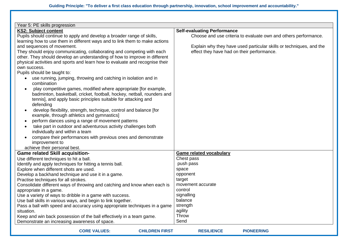| Year 5: PE skills progression                                                   |                                                                     |
|---------------------------------------------------------------------------------|---------------------------------------------------------------------|
| <b>KS2: Subject content</b>                                                     | <b>Self-evaluating Performance</b>                                  |
| Pupils should continue to apply and develop a broader range of skills,          | Choose and use criteria to evaluate own and others performance.     |
| learning how to use them in different ways and to link them to make actions     |                                                                     |
| and sequences of movement.                                                      | Explain why they have used particular skills or techniques, and the |
| They should enjoy communicating, collaborating and competing with each          | effect they have had on their performance.                          |
| other. They should develop an understanding of how to improve in different      |                                                                     |
| physical activities and sports and learn how to evaluate and recognise their    |                                                                     |
| own success.                                                                    |                                                                     |
| Pupils should be taught to:                                                     |                                                                     |
| use running, jumping, throwing and catching in isolation and in                 |                                                                     |
| combination                                                                     |                                                                     |
| play competitive games, modified where appropriate [for example,<br>$\bullet$   |                                                                     |
| badminton, basketball, cricket, football, hockey, netball, rounders and         |                                                                     |
| tennis], and apply basic principles suitable for attacking and                  |                                                                     |
| defending                                                                       |                                                                     |
| develop flexibility, strength, technique, control and balance [for<br>$\bullet$ |                                                                     |
| example, through athletics and gymnastics]                                      |                                                                     |
| perform dances using a range of movement patterns<br>$\bullet$                  |                                                                     |
| take part in outdoor and adventurous activity challenges both<br>$\bullet$      |                                                                     |
| individually and within a team                                                  |                                                                     |
| compare their performances with previous ones and demonstrate<br>$\bullet$      |                                                                     |
| improvement to                                                                  |                                                                     |
| achieve their personal best.                                                    |                                                                     |
| <b>Game related Skill acquisition-</b>                                          | <b>Game related vocabulary</b>                                      |
| Use different techniques to hit a ball.                                         | Chest pass                                                          |
| Identify and apply techniques for hitting a tennis ball.                        | push pass                                                           |
| Explore when different shots are used.                                          | space                                                               |
| Develop a backhand technique and use it in a game.                              | opponent                                                            |
| Practise techniques for all strokes.                                            | target                                                              |
| Consolidate different ways of throwing and catching and know when each is       | movement accurate                                                   |
| appropriate in a game.                                                          | control                                                             |
| Use a variety of ways to dribble in a game with success.                        | signalling                                                          |
| Use ball skills in various ways, and begin to link together.                    | balance                                                             |
| Pass a ball with speed and accuracy using appropriate techniques in a game      | strength                                                            |
| situation.                                                                      | agility                                                             |
| Keep and win back possession of the ball effectively in a team game.            | Throw                                                               |
| Demonstrate an increasing awareness of space.                                   | Send                                                                |
| <b>CHILDREN FIRST</b><br><b>CORE VALUES:</b>                                    | <b>RESILIENCE</b><br><b>PIONEERING</b>                              |
|                                                                                 |                                                                     |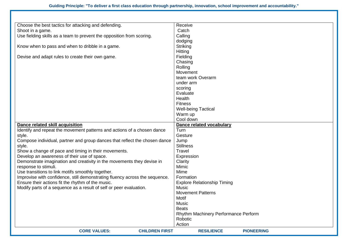| Choose the best tactics for attacking and defending.<br>Shoot in a game.<br>Use fielding skills as a team to prevent the opposition from scoring.<br>Know when to pass and when to dribble in a game.<br>Devise and adapt rules to create their own game.<br>Dance related skill acquisition<br>Identify and repeat the movement patterns and actions of a chosen dance<br>style.<br>Compose individual, partner and group dances that reflect the chosen dance<br>style.<br>Show a change of pace and timing in their movements.<br>Develop an awareness of their use of space.<br>Demonstrate imagination and creativity in the movements they devise in<br>response to stimuli.<br>Use transitions to link motifs smoothly together.<br>Improvise with confidence, still demonstrating fluency across the sequence.<br>Ensure their actions fit the rhythm of the music. | Receive<br>Catch<br>Calling<br>dodging<br>Striking<br>Hitting<br>Fielding<br>Chasing<br>Rolling<br>Movement<br>team work Overarm<br>under arm<br>scoring<br>Evaluate<br>Health<br><b>Fitness</b><br><b>Well-being Tactical</b><br>Warm up<br>Cool down<br>Dance related vocabulary<br>Turn<br>Gesture<br>Jump<br><b>Stillness</b><br>Travel<br>Expression<br>Clarity<br>Mimic<br>Mime<br>Formation<br><b>Explore Relationship Timing</b> |
|-----------------------------------------------------------------------------------------------------------------------------------------------------------------------------------------------------------------------------------------------------------------------------------------------------------------------------------------------------------------------------------------------------------------------------------------------------------------------------------------------------------------------------------------------------------------------------------------------------------------------------------------------------------------------------------------------------------------------------------------------------------------------------------------------------------------------------------------------------------------------------|------------------------------------------------------------------------------------------------------------------------------------------------------------------------------------------------------------------------------------------------------------------------------------------------------------------------------------------------------------------------------------------------------------------------------------------|
| Modify parts of a sequence as a result of self or peer evaluation.<br><b>CORE VALUES:</b><br><b>CHILDREN FIRST</b>                                                                                                                                                                                                                                                                                                                                                                                                                                                                                                                                                                                                                                                                                                                                                          | <b>Music</b><br><b>Movement Patterns</b><br><b>Motif</b><br>Music<br><b>Beats</b><br>Rhythm Machinery Performance Perform<br>Robotic<br>Action<br><b>RESILIENCE</b><br><b>PIONEERING</b>                                                                                                                                                                                                                                                 |
|                                                                                                                                                                                                                                                                                                                                                                                                                                                                                                                                                                                                                                                                                                                                                                                                                                                                             |                                                                                                                                                                                                                                                                                                                                                                                                                                          |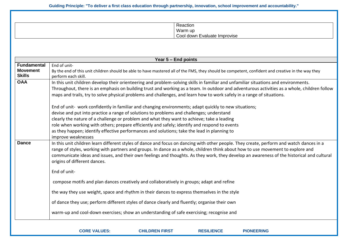**Guiding Principle: "To deliver a first class education through partnership, innovation, school improvement and accountability."**

|                                                        | Reaction                                                                                                                                                                                                                                                                                                                                                                                                                                                 |  |  |  |  |
|--------------------------------------------------------|----------------------------------------------------------------------------------------------------------------------------------------------------------------------------------------------------------------------------------------------------------------------------------------------------------------------------------------------------------------------------------------------------------------------------------------------------------|--|--|--|--|
|                                                        | Warm up<br>Cool down Evaluate Improvise                                                                                                                                                                                                                                                                                                                                                                                                                  |  |  |  |  |
|                                                        |                                                                                                                                                                                                                                                                                                                                                                                                                                                          |  |  |  |  |
|                                                        |                                                                                                                                                                                                                                                                                                                                                                                                                                                          |  |  |  |  |
|                                                        |                                                                                                                                                                                                                                                                                                                                                                                                                                                          |  |  |  |  |
|                                                        | Year 5 - End points                                                                                                                                                                                                                                                                                                                                                                                                                                      |  |  |  |  |
| <b>Fundamental</b><br><b>Movement</b><br><b>Skills</b> | End of unit-<br>By the end of this unit children should be able to have mastered all of the FMS, they should be competent, confident and creative in the way they<br>perform each skill.                                                                                                                                                                                                                                                                 |  |  |  |  |
| <b>OAA</b>                                             | In this unit children develop their orienteering and problem-solving skills in familiar and unfamiliar situations and environments.                                                                                                                                                                                                                                                                                                                      |  |  |  |  |
|                                                        | Throughout, there is an emphasis on building trust and working as a team. In outdoor and adventurous activities as a whole, children follow<br>maps and trails, try to solve physical problems and challenges, and learn how to work safely in a range of situations.                                                                                                                                                                                    |  |  |  |  |
|                                                        | End of unit- work confidently in familiar and changing environments; adapt quickly to new situations;                                                                                                                                                                                                                                                                                                                                                    |  |  |  |  |
|                                                        | devise and put into practice a range of solutions to problems and challenges; understand                                                                                                                                                                                                                                                                                                                                                                 |  |  |  |  |
|                                                        | clearly the nature of a challenge or problem and what they want to achieve; take a leading<br>role when working with others; prepare efficiently and safely; identify and respond to events                                                                                                                                                                                                                                                              |  |  |  |  |
|                                                        | as they happen; identify effective performances and solutions; take the lead in planning to                                                                                                                                                                                                                                                                                                                                                              |  |  |  |  |
|                                                        | improve weaknesses                                                                                                                                                                                                                                                                                                                                                                                                                                       |  |  |  |  |
| <b>Dance</b>                                           | In this unit children learn different styles of dance and focus on dancing with other people. They create, perform and watch dances in a<br>range of styles, working with partners and groups. In dance as a whole, children think about how to use movement to explore and<br>communicate ideas and issues, and their own feelings and thoughts. As they work, they develop an awareness of the historical and cultural<br>origins of different dances. |  |  |  |  |
|                                                        | End of unit-                                                                                                                                                                                                                                                                                                                                                                                                                                             |  |  |  |  |
|                                                        | compose motifs and plan dances creatively and collaboratively in groups; adapt and refine                                                                                                                                                                                                                                                                                                                                                                |  |  |  |  |
|                                                        | the way they use weight, space and rhythm in their dances to express themselves in the style                                                                                                                                                                                                                                                                                                                                                             |  |  |  |  |
|                                                        | of dance they use; perform different styles of dance clearly and fluently; organise their own                                                                                                                                                                                                                                                                                                                                                            |  |  |  |  |
|                                                        | warm-up and cool-down exercises; show an understanding of safe exercising; recognise and                                                                                                                                                                                                                                                                                                                                                                 |  |  |  |  |
|                                                        | <b>CORE VALUES:</b><br><b>RESILIENCE</b><br><b>PIONEERING</b><br><b>CHILDREN FIRST</b>                                                                                                                                                                                                                                                                                                                                                                   |  |  |  |  |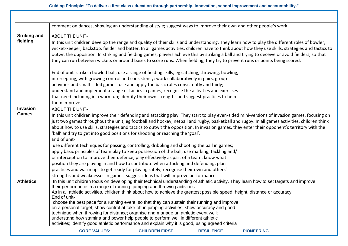|                                 | comment on dances, showing an understanding of style; suggest ways to improve their own and other people's work                                                                                                                                                                                                                                                                                                                                                                                                                                                                                                                                                                                                                                                                                                                                                                                                                                                                                                                                                                                                            |                       |                   |                   |  |
|---------------------------------|----------------------------------------------------------------------------------------------------------------------------------------------------------------------------------------------------------------------------------------------------------------------------------------------------------------------------------------------------------------------------------------------------------------------------------------------------------------------------------------------------------------------------------------------------------------------------------------------------------------------------------------------------------------------------------------------------------------------------------------------------------------------------------------------------------------------------------------------------------------------------------------------------------------------------------------------------------------------------------------------------------------------------------------------------------------------------------------------------------------------------|-----------------------|-------------------|-------------------|--|
| <b>Striking and</b><br>fielding | <b>ABOUT THE UNIT-</b><br>In this unit children develop the range and quality of their skills and understanding. They learn how to play the different roles of bowler,<br>wicket-keeper, backstop, fielder and batter. In all games activities, children have to think about how they use skills, strategies and tactics to<br>outwit the opposition. In striking and fielding games, players achieve this by striking a ball and trying to deceive or avoid fielders, so that<br>they can run between wickets or around bases to score runs. When fielding, they try to prevent runs or points being scored.<br>End of unit-strike a bowled ball; use a range of fielding skills, eg catching, throwing, bowling,<br>intercepting, with growing control and consistency; work collaboratively in pairs, group<br>activities and small-sided games; use and apply the basic rules consistently and fairly;<br>understand and implement a range of tactics in games; recognise the activities and exercises<br>that need including in a warm up; identify their own strengths and suggest practices to help<br>them improve |                       |                   |                   |  |
| <b>Invasion</b><br><b>Games</b> | <b>ABOUT THE UNIT-</b><br>In this unit children improve their defending and attacking play. They start to play even-sided mini-versions of invasion games, focusing on<br>just two games throughout the unit, eg football and hockey, netball and rugby, basketball and rugby. In all games activities, children think<br>about how to use skills, strategies and tactics to outwit the opposition. In invasion games, they enter their opponent's territory with the<br>'ball' and try to get into good positions for shooting or reaching the 'goal'.<br>End of unit-<br>use different techniques for passing, controlling, dribbling and shooting the ball in games;<br>apply basic principles of team play to keep possession of the ball; use marking, tackling and/<br>or interception to improve their defence; play effectively as part of a team; know what<br>position they are playing in and how to contribute when attacking and defending; plan<br>practices and warm ups to get ready for playing safely; recognise their own and others'                                                                   |                       |                   |                   |  |
| <b>Athletics</b>                | strengths and weaknesses in games; suggest ideas that will improve performance<br>In this unit children focus on developing their technical understanding of athletic activity. They learn how to set targets and improve<br>their performance in a range of running, jumping and throwing activities.<br>As in all athletic activities, children think about how to achieve the greatest possible speed, height, distance or accuracy.<br>End of unit-<br>choose the best pace for a running event, so that they can sustain their running and improve<br>on a personal target; show control at take-off in jumping activities; show accuracy and good<br>technique when throwing for distance; organise and manage an athletic event well;<br>understand how stamina and power help people to perform well in different athletic<br>activities; identify good athletic performance and explain why it is good, using agreed criteria                                                                                                                                                                                     |                       |                   |                   |  |
|                                 | <b>CORE VALUES:</b>                                                                                                                                                                                                                                                                                                                                                                                                                                                                                                                                                                                                                                                                                                                                                                                                                                                                                                                                                                                                                                                                                                        | <b>CHILDREN FIRST</b> | <b>RESILIENCE</b> | <b>PIONEERING</b> |  |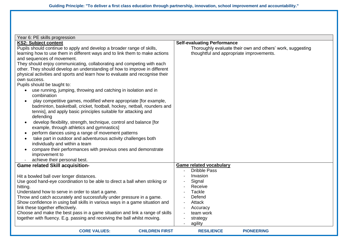| Year 6: PE skills progression                                                   |                                                            |
|---------------------------------------------------------------------------------|------------------------------------------------------------|
| <b>KS2: Subject content</b>                                                     | <b>Self-evaluating Performance</b>                         |
| Pupils should continue to apply and develop a broader range of skills,          | Thoroughly evaluate their own and others' work, suggesting |
| learning how to use them in different ways and to link them to make actions     | thoughtful and appropriate improvements.                   |
| and sequences of movement.                                                      |                                                            |
| They should enjoy communicating, collaborating and competing with each          |                                                            |
| other. They should develop an understanding of how to improve in different      |                                                            |
| physical activities and sports and learn how to evaluate and recognise their    |                                                            |
| own success.                                                                    |                                                            |
| Pupils should be taught to:                                                     |                                                            |
| use running, jumping, throwing and catching in isolation and in<br>combination  |                                                            |
| play competitive games, modified where appropriate [for example,                |                                                            |
| badminton, basketball, cricket, football, hockey, netball, rounders and         |                                                            |
| tennis], and apply basic principles suitable for attacking and                  |                                                            |
| defending                                                                       |                                                            |
| develop flexibility, strength, technique, control and balance [for<br>$\bullet$ |                                                            |
| example, through athletics and gymnastics]                                      |                                                            |
| perform dances using a range of movement patterns<br>$\bullet$                  |                                                            |
| take part in outdoor and adventurous activity challenges both<br>$\bullet$      |                                                            |
| individually and within a team                                                  |                                                            |
| compare their performances with previous ones and demonstrate                   |                                                            |
| improvement to                                                                  |                                                            |
| achieve their personal best.                                                    |                                                            |
| <b>Game related Skill acquisition-</b>                                          | <b>Game related vocabulary</b>                             |
|                                                                                 | <b>Dribble Pass</b>                                        |
| Hit a bowled ball over longer distances.                                        | Invasion                                                   |
| Use good hand-eye coordination to be able to direct a ball when striking or     | Signal<br>Receive                                          |
| hitting.<br>Understand how to serve in order to start a game.                   | <b>Tackle</b>                                              |
| Throw and catch accurately and successfully under pressure in a game.           | Defend                                                     |
| Show confidence in using ball skills in various ways in a game situation and    | Attack                                                     |
| link these together effectively.                                                | Accuracy                                                   |
| Choose and make the best pass in a game situation and link a range of skills    | team work                                                  |
| together with fluency. E.g. passing and receiving the ball whilst moving.       | strategy                                                   |
|                                                                                 | agility                                                    |
|                                                                                 |                                                            |
| <b>CORE VALUES:</b><br><b>CHILDREN FIRST</b>                                    | <b>RESILIENCE</b><br><b>PIONEERING</b>                     |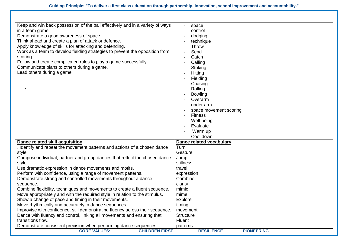| Demonstrate a good awareness of space.<br>dodging<br>Think ahead and create a plan of attack or defence.<br>technique<br>Apply knowledge of skills for attacking and defending.<br>Throw<br>Work as a team to develop fielding strategies to prevent the opposition from<br>Send<br>scoring.<br>Catch<br>Follow and create complicated rules to play a game successfully.<br>Calling<br>Communicate plans to others during a game.<br>Striking<br>Lead others during a game.<br>Hitting<br>Fielding<br>Chasing<br>Rolling<br><b>Bowling</b><br>Overarm<br>under arm<br>space movement scoring<br><b>Fitness</b><br>Well-being<br>Evaluate<br>Warm up<br>Cool down |  |
|-------------------------------------------------------------------------------------------------------------------------------------------------------------------------------------------------------------------------------------------------------------------------------------------------------------------------------------------------------------------------------------------------------------------------------------------------------------------------------------------------------------------------------------------------------------------------------------------------------------------------------------------------------------------|--|
| Dance related skill acquisition<br>Dance related vocabulary<br>. Identify and repeat the movement patterns and actions of a chosen dance<br>Turn<br>Gesture<br>style.                                                                                                                                                                                                                                                                                                                                                                                                                                                                                             |  |
| Compose individual, partner and group dances that reflect the chosen dance<br>Jump                                                                                                                                                                                                                                                                                                                                                                                                                                                                                                                                                                                |  |
| stillness<br>style.                                                                                                                                                                                                                                                                                                                                                                                                                                                                                                                                                                                                                                               |  |
| Use dramatic expression in dance movements and motifs.<br>travel                                                                                                                                                                                                                                                                                                                                                                                                                                                                                                                                                                                                  |  |
| Perform with confidence, using a range of movement patterns.<br>expression                                                                                                                                                                                                                                                                                                                                                                                                                                                                                                                                                                                        |  |
| Demonstrate strong and controlled movements throughout a dance<br>Combine                                                                                                                                                                                                                                                                                                                                                                                                                                                                                                                                                                                         |  |
| clarity<br>sequence.                                                                                                                                                                                                                                                                                                                                                                                                                                                                                                                                                                                                                                              |  |
| Combine flexibility, techniques and movements to create a fluent sequence.<br>mimic                                                                                                                                                                                                                                                                                                                                                                                                                                                                                                                                                                               |  |
| Move appropriately and with the required style in relation to the stimulus.<br>mime                                                                                                                                                                                                                                                                                                                                                                                                                                                                                                                                                                               |  |
| Show a change of pace and timing in their movements.<br>Explore                                                                                                                                                                                                                                                                                                                                                                                                                                                                                                                                                                                                   |  |
| Move rhythmically and accurately in dance sequences.<br>timing                                                                                                                                                                                                                                                                                                                                                                                                                                                                                                                                                                                                    |  |
| Improvise with confidence, still demonstrating fluency across their sequence.<br>movement<br>Dance with fluency and control, linking all movements and ensuring that<br><b>Structure</b>                                                                                                                                                                                                                                                                                                                                                                                                                                                                          |  |
| transitions flow.<br>Fluent                                                                                                                                                                                                                                                                                                                                                                                                                                                                                                                                                                                                                                       |  |
| Demonstrate consistent precision when performing dance sequences.<br>patterns                                                                                                                                                                                                                                                                                                                                                                                                                                                                                                                                                                                     |  |
| <b>CORE VALUES:</b><br><b>CHILDREN FIRST</b><br><b>RESILIENCE</b><br><b>PIONEERING</b>                                                                                                                                                                                                                                                                                                                                                                                                                                                                                                                                                                            |  |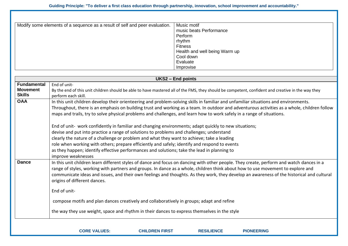|                          | Modify some elements of a sequence as a result of self and peer evaluation.                                                                       | Music motif<br>music beats Performance<br>Perform<br>rhythm                                                                                                                                                                                                                                                                                                                                                              |  |
|--------------------------|---------------------------------------------------------------------------------------------------------------------------------------------------|--------------------------------------------------------------------------------------------------------------------------------------------------------------------------------------------------------------------------------------------------------------------------------------------------------------------------------------------------------------------------------------------------------------------------|--|
|                          |                                                                                                                                                   | <b>Fitness</b>                                                                                                                                                                                                                                                                                                                                                                                                           |  |
|                          |                                                                                                                                                   | Health and well being Warm up                                                                                                                                                                                                                                                                                                                                                                                            |  |
|                          |                                                                                                                                                   | Cool down                                                                                                                                                                                                                                                                                                                                                                                                                |  |
|                          |                                                                                                                                                   | Evaluate<br>Improvise                                                                                                                                                                                                                                                                                                                                                                                                    |  |
|                          |                                                                                                                                                   |                                                                                                                                                                                                                                                                                                                                                                                                                          |  |
| <b>UKS2 - End points</b> |                                                                                                                                                   |                                                                                                                                                                                                                                                                                                                                                                                                                          |  |
| <b>Fundamental</b>       | End of unit-                                                                                                                                      |                                                                                                                                                                                                                                                                                                                                                                                                                          |  |
| <b>Movement</b>          | By the end of this unit children should be able to have mastered all of the FMS, they should be competent, confident and creative in the way they |                                                                                                                                                                                                                                                                                                                                                                                                                          |  |
| <b>Skills</b>            | perform each skill.                                                                                                                               |                                                                                                                                                                                                                                                                                                                                                                                                                          |  |
| <b>OAA</b>               | In this unit children develop their orienteering and problem-solving skills in familiar and unfamiliar situations and environments.               |                                                                                                                                                                                                                                                                                                                                                                                                                          |  |
|                          | Throughout, there is an emphasis on building trust and working as a team. In outdoor and adventurous activities as a whole, children follow       |                                                                                                                                                                                                                                                                                                                                                                                                                          |  |
|                          | maps and trails, try to solve physical problems and challenges, and learn how to work safely in a range of situations.                            |                                                                                                                                                                                                                                                                                                                                                                                                                          |  |
|                          | End of unit- work confidently in familiar and changing environments; adapt quickly to new situations;                                             |                                                                                                                                                                                                                                                                                                                                                                                                                          |  |
|                          | devise and put into practice a range of solutions to problems and challenges; understand                                                          |                                                                                                                                                                                                                                                                                                                                                                                                                          |  |
|                          | clearly the nature of a challenge or problem and what they want to achieve; take a leading                                                        |                                                                                                                                                                                                                                                                                                                                                                                                                          |  |
|                          | role when working with others; prepare efficiently and safely; identify and respond to events                                                     |                                                                                                                                                                                                                                                                                                                                                                                                                          |  |
|                          | as they happen; identify effective performances and solutions; take the lead in planning to                                                       |                                                                                                                                                                                                                                                                                                                                                                                                                          |  |
|                          | improve weaknesses                                                                                                                                |                                                                                                                                                                                                                                                                                                                                                                                                                          |  |
| <b>Dance</b>             | origins of different dances.                                                                                                                      | In this unit children learn different styles of dance and focus on dancing with other people. They create, perform and watch dances in a<br>range of styles, working with partners and groups. In dance as a whole, children think about how to use movement to explore and<br>communicate ideas and issues, and their own feelings and thoughts. As they work, they develop an awareness of the historical and cultural |  |
|                          | End of unit-                                                                                                                                      |                                                                                                                                                                                                                                                                                                                                                                                                                          |  |
|                          | compose motifs and plan dances creatively and collaboratively in groups; adapt and refine                                                         |                                                                                                                                                                                                                                                                                                                                                                                                                          |  |

the way they use weight, space and rhythm in their dances to express themselves in the style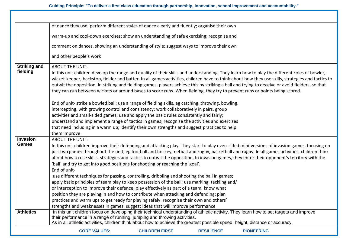|                                 | of dance they use; perform different styles of dance clearly and fluently; organise their own                                                                                                                                                                                                                                                                                                                                                                                                                                                                                                                                                                                                                                                                                                                                                                                                                                                                                                                                                                                                                                              |  |  |
|---------------------------------|--------------------------------------------------------------------------------------------------------------------------------------------------------------------------------------------------------------------------------------------------------------------------------------------------------------------------------------------------------------------------------------------------------------------------------------------------------------------------------------------------------------------------------------------------------------------------------------------------------------------------------------------------------------------------------------------------------------------------------------------------------------------------------------------------------------------------------------------------------------------------------------------------------------------------------------------------------------------------------------------------------------------------------------------------------------------------------------------------------------------------------------------|--|--|
|                                 | warm-up and cool-down exercises; show an understanding of safe exercising; recognise and                                                                                                                                                                                                                                                                                                                                                                                                                                                                                                                                                                                                                                                                                                                                                                                                                                                                                                                                                                                                                                                   |  |  |
|                                 | comment on dances, showing an understanding of style; suggest ways to improve their own                                                                                                                                                                                                                                                                                                                                                                                                                                                                                                                                                                                                                                                                                                                                                                                                                                                                                                                                                                                                                                                    |  |  |
|                                 | and other people's work                                                                                                                                                                                                                                                                                                                                                                                                                                                                                                                                                                                                                                                                                                                                                                                                                                                                                                                                                                                                                                                                                                                    |  |  |
| <b>Striking and</b><br>fielding | <b>ABOUT THE UNIT-</b><br>In this unit children develop the range and quality of their skills and understanding. They learn how to play the different roles of bowler,<br>wicket-keeper, backstop, fielder and batter. In all games activities, children have to think about how they use skills, strategies and tactics to<br>outwit the opposition. In striking and fielding games, players achieve this by striking a ball and trying to deceive or avoid fielders, so that<br>they can run between wickets or around bases to score runs. When fielding, they try to prevent runs or points being scored.                                                                                                                                                                                                                                                                                                                                                                                                                                                                                                                              |  |  |
|                                 | End of unit-strike a bowled ball; use a range of fielding skills, eg catching, throwing, bowling,<br>intercepting, with growing control and consistency; work collaboratively in pairs, group<br>activities and small-sided games; use and apply the basic rules consistently and fairly;<br>understand and implement a range of tactics in games; recognise the activities and exercises<br>that need including in a warm up; identify their own strengths and suggest practices to help<br>them improve                                                                                                                                                                                                                                                                                                                                                                                                                                                                                                                                                                                                                                  |  |  |
| <b>Invasion</b><br><b>Games</b> | <b>ABOUT THE UNIT-</b><br>In this unit children improve their defending and attacking play. They start to play even-sided mini-versions of invasion games, focusing on<br>just two games throughout the unit, eg football and hockey, netball and rugby, basketball and rugby. In all games activities, children think<br>about how to use skills, strategies and tactics to outwit the opposition. In invasion games, they enter their opponent's territory with the<br>'ball' and try to get into good positions for shooting or reaching the 'goal'.<br>End of unit-<br>use different techniques for passing, controlling, dribbling and shooting the ball in games;<br>apply basic principles of team play to keep possession of the ball; use marking, tackling and/<br>or interception to improve their defence; play effectively as part of a team; know what<br>position they are playing in and how to contribute when attacking and defending; plan<br>practices and warm ups to get ready for playing safely; recognise their own and others'<br>strengths and weaknesses in games; suggest ideas that will improve performance |  |  |
| <b>Athletics</b>                | In this unit children focus on developing their technical understanding of athletic activity. They learn how to set targets and improve<br>their performance in a range of running, jumping and throwing activities.                                                                                                                                                                                                                                                                                                                                                                                                                                                                                                                                                                                                                                                                                                                                                                                                                                                                                                                       |  |  |
|                                 | As in all athletic activities, children think about how to achieve the greatest possible speed, height, distance or accuracy.                                                                                                                                                                                                                                                                                                                                                                                                                                                                                                                                                                                                                                                                                                                                                                                                                                                                                                                                                                                                              |  |  |
|                                 | <b>CORE VALUES:</b><br><b>CHILDREN FIRST</b><br><b>RESILIENCE</b><br><b>PIONEERING</b>                                                                                                                                                                                                                                                                                                                                                                                                                                                                                                                                                                                                                                                                                                                                                                                                                                                                                                                                                                                                                                                     |  |  |